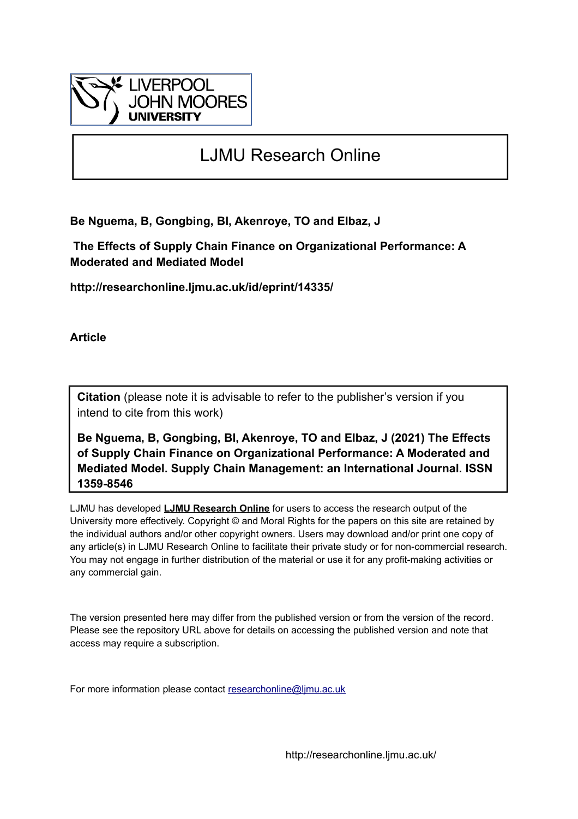

# LJMU Research Online

**Be Nguema, B, Gongbing, BI, Akenroye, TO and Elbaz, J**

 **The Effects of Supply Chain Finance on Organizational Performance: A Moderated and Mediated Model**

**http://researchonline.ljmu.ac.uk/id/eprint/14335/**

**Article**

**Citation** (please note it is advisable to refer to the publisher's version if you intend to cite from this work)

**Be Nguema, B, Gongbing, BI, Akenroye, TO and Elbaz, J (2021) The Effects of Supply Chain Finance on Organizational Performance: A Moderated and Mediated Model. Supply Chain Management: an International Journal. ISSN 1359-8546** 

LJMU has developed **[LJMU Research Online](http://researchonline.ljmu.ac.uk/)** for users to access the research output of the University more effectively. Copyright © and Moral Rights for the papers on this site are retained by the individual authors and/or other copyright owners. Users may download and/or print one copy of any article(s) in LJMU Research Online to facilitate their private study or for non-commercial research. You may not engage in further distribution of the material or use it for any profit-making activities or any commercial gain.

The version presented here may differ from the published version or from the version of the record. Please see the repository URL above for details on accessing the published version and note that access may require a subscription.

For more information please contact [researchonline@ljmu.ac.uk](mailto:researchonline@ljmu.ac.uk)

http://researchonline.ljmu.ac.uk/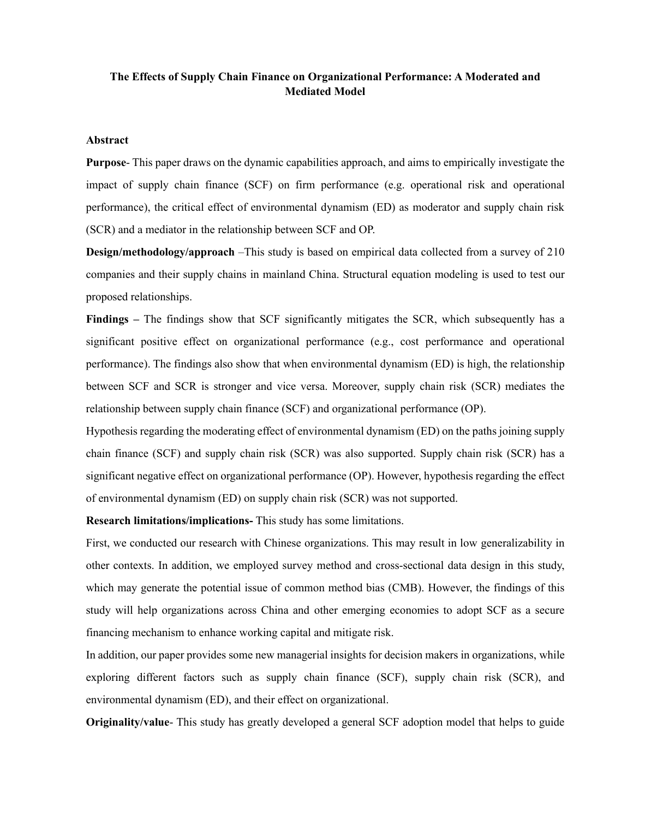# **The Effects of Supply Chain Finance on Organizational Performance: A Moderated and Mediated Model**

#### **Abstract**

**Purpose**- This paper draws on the dynamic capabilities approach, and aims to empirically investigate the impact of supply chain finance (SCF) on firm performance (e.g. operational risk and operational performance), the critical effect of environmental dynamism (ED) as moderator and supply chain risk (SCR) and a mediator in the relationship between SCF and OP.

**Design/methodology/approach** –This study is based on empirical data collected from a survey of 210 companies and their supply chains in mainland China. Structural equation modeling is used to test our proposed relationships.

**Findings –** The findings show that SCF significantly mitigates the SCR, which subsequently has a significant positive effect on organizational performance (e.g., cost performance and operational performance). The findings also show that when environmental dynamism (ED) is high, the relationship between SCF and SCR is stronger and vice versa. Moreover, supply chain risk (SCR) mediates the relationship between supply chain finance (SCF) and organizational performance (OP).

Hypothesis regarding the moderating effect of environmental dynamism (ED) on the paths joining supply chain finance (SCF) and supply chain risk (SCR) was also supported. Supply chain risk (SCR) has a significant negative effect on organizational performance (OP). However, hypothesis regarding the effect of environmental dynamism (ED) on supply chain risk (SCR) was not supported.

**Research limitations/implications-** This study has some limitations.

First, we conducted our research with Chinese organizations. This may result in low generalizability in other contexts. In addition, we employed survey method and cross-sectional data design in this study, which may generate the potential issue of common method bias (CMB). However, the findings of this study will help organizations across China and other emerging economies to adopt SCF as a secure financing mechanism to enhance working capital and mitigate risk.

In addition, our paper provides some new managerial insights for decision makers in organizations, while exploring different factors such as supply chain finance (SCF), supply chain risk (SCR), and environmental dynamism (ED), and their effect on organizational.

**Originality/value**- This study has greatly developed a general SCF adoption model that helps to guide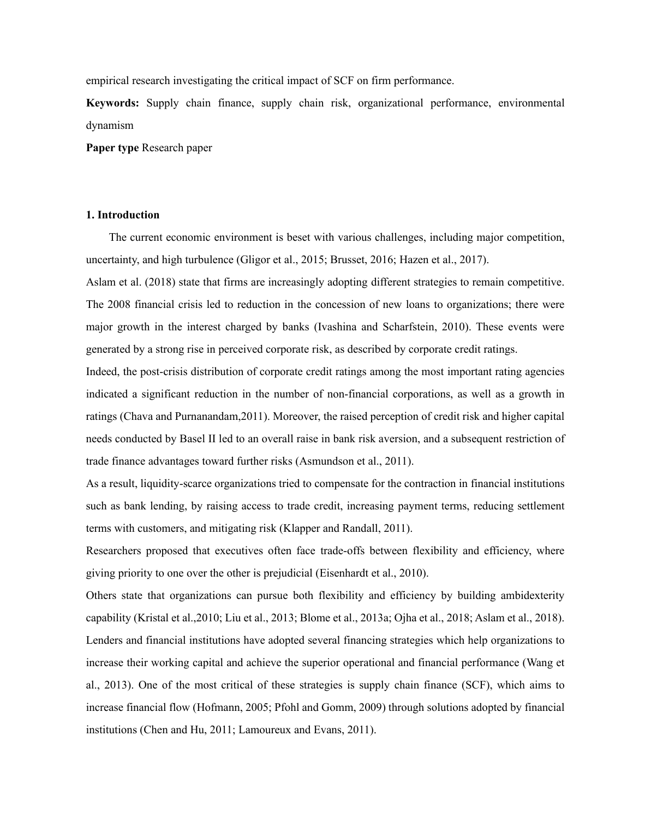empirical research investigating the critical impact of SCF on firm performance.

**Keywords:** Supply chain finance, supply chain risk, organizational performance, environmental dynamism

**Paper type** Research paper

#### **1. Introduction**

The current economic environment is beset with various challenges, including major competition, uncertainty, and high turbulence (Gligor et al., 2015; Brusset, 2016; Hazen et al., 2017).

Aslam et al. (2018) state that firms are increasingly adopting different strategies to remain competitive. The 2008 financial crisis led to reduction in the concession of new loans to organizations; there were major growth in the interest charged by banks (Ivashina and Scharfstein, 2010). These events were generated by a strong rise in perceived corporate risk, as described by corporate credit ratings.

Indeed, the post-crisis distribution of corporate credit ratings among the most important rating agencies indicated a significant reduction in the number of non-financial corporations, as well as a growth in ratings (Chava and Purnanandam,2011). Moreover, the raised perception of credit risk and higher capital needs conducted by Basel II led to an overall raise in bank risk aversion, and a subsequent restriction of trade finance advantages toward further risks (Asmundson et al., 2011).

As a result, liquidity-scarce organizations tried to compensate for the contraction in financial institutions such as bank lending, by raising access to trade credit, increasing payment terms, reducing settlement terms with customers, and mitigating risk (Klapper and Randall, 2011).

Researchers proposed that executives often face trade-offs between flexibility and efficiency, where giving priority to one over the other is prejudicial (Eisenhardt et al., 2010).

Others state that organizations can pursue both flexibility and efficiency by building ambidexterity capability (Kristal et al.,2010; Liu et al., 2013; Blome et al., 2013a; Ojha et al., 2018; Aslam et al., 2018). Lenders and financial institutions have adopted several financing strategies which help organizations to increase their working capital and achieve the superior operational and financial performance (Wang et al., 2013). One of the most critical of these strategies is supply chain finance (SCF), which aims to increase financial flow (Hofmann, 2005; Pfohl and Gomm, 2009) through solutions adopted by financial institutions (Chen and Hu, 2011; Lamoureux and Evans, 2011).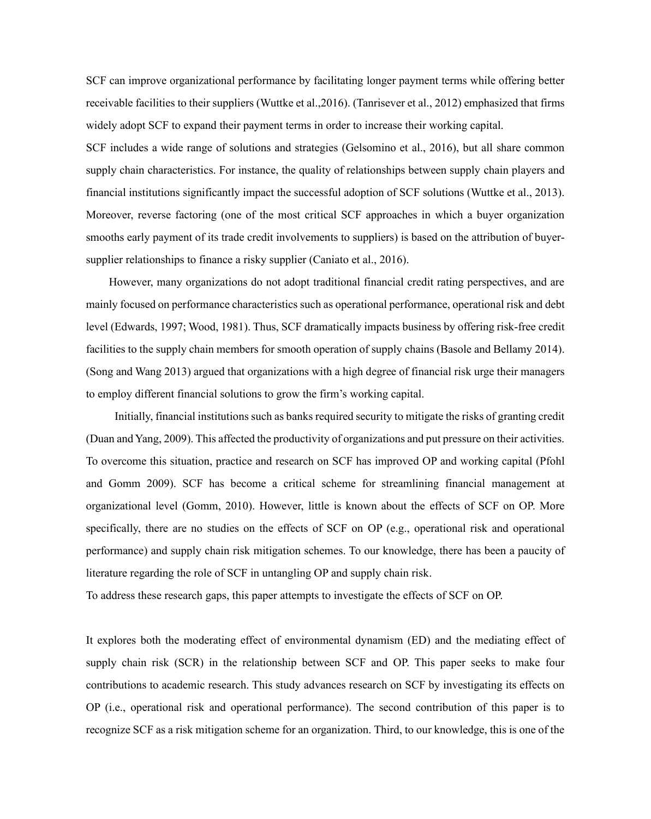SCF can improve organizational performance by facilitating longer payment terms while offering better receivable facilities to their suppliers (Wuttke et al.,2016). (Tanrisever et al., 2012) emphasized that firms widely adopt SCF to expand their payment terms in order to increase their working capital.

SCF includes a wide range of solutions and strategies (Gelsomino et al., 2016), but all share common supply chain characteristics. For instance, the quality of relationships between supply chain players and financial institutions significantly impact the successful adoption of SCF solutions (Wuttke et al., 2013). Moreover, reverse factoring (one of the most critical SCF approaches in which a buyer organization smooths early payment of its trade credit involvements to suppliers) is based on the attribution of buyersupplier relationships to finance a risky supplier (Caniato et al., 2016).

However, many organizations do not adopt traditional financial credit rating perspectives, and are mainly focused on performance characteristics such as operational performance, operational risk and debt level (Edwards, 1997; Wood, 1981). Thus, SCF dramatically impacts business by offering risk-free credit facilities to the supply chain members for smooth operation of supply chains (Basole and Bellamy 2014). (Song and Wang 2013) argued that organizations with a high degree of financial risk urge their managers to employ different financial solutions to grow the firm's working capital.

Initially, financial institutions such as banks required security to mitigate the risks of granting credit (Duan and Yang, 2009). This affected the productivity of organizations and put pressure on their activities. To overcome this situation, practice and research on SCF has improved OP and working capital (Pfohl and Gomm 2009). SCF has become a critical scheme for streamlining financial management at organizational level (Gomm, 2010). However, little is known about the effects of SCF on OP. More specifically, there are no studies on the effects of SCF on OP (e.g., operational risk and operational performance) and supply chain risk mitigation schemes. To our knowledge, there has been a paucity of literature regarding the role of SCF in untangling OP and supply chain risk.

To address these research gaps, this paper attempts to investigate the effects of SCF on OP.

It explores both the moderating effect of environmental dynamism (ED) and the mediating effect of supply chain risk (SCR) in the relationship between SCF and OP. This paper seeks to make four contributions to academic research. This study advances research on SCF by investigating its effects on OP (i.e., operational risk and operational performance). The second contribution of this paper is to recognize SCF as a risk mitigation scheme for an organization. Third, to our knowledge, this is one of the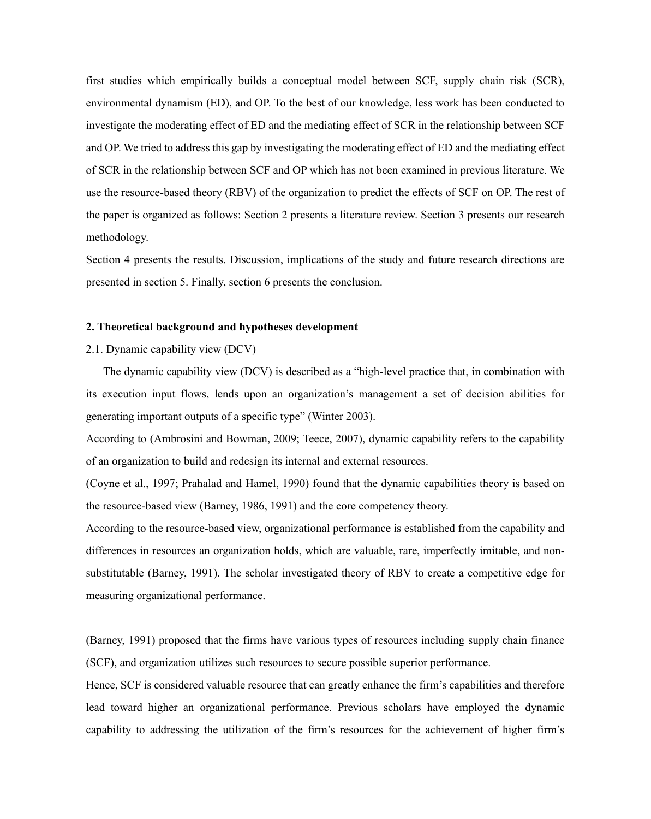first studies which empirically builds a conceptual model between SCF, supply chain risk (SCR), environmental dynamism (ED), and OP. To the best of our knowledge, less work has been conducted to investigate the moderating effect of ED and the mediating effect of SCR in the relationship between SCF and OP. We tried to address this gap by investigating the moderating effect of ED and the mediating effect of SCR in the relationship between SCF and OP which has not been examined in previous literature. We use the resource-based theory (RBV) of the organization to predict the effects of SCF on OP. The rest of the paper is organized as follows: Section 2 presents a literature review. Section 3 presents our research methodology.

Section 4 presents the results. Discussion, implications of the study and future research directions are presented in section 5. Finally, section 6 presents the conclusion.

#### **2. Theoretical background and hypotheses development**

#### 2.1. Dynamic capability view (DCV)

The dynamic capability view (DCV) is described as a "high-level practice that, in combination with its execution input flows, lends upon an organization's management a set of decision abilities for generating important outputs of a specific type" (Winter 2003).

According to (Ambrosini and Bowman, 2009; Teece, 2007), dynamic capability refers to the capability of an organization to build and redesign its internal and external resources.

(Coyne et al., 1997; Prahalad and Hamel, 1990) found that the dynamic capabilities theory is based on the resource-based view (Barney, 1986, 1991) and the core competency theory.

According to the resource-based view, organizational performance is established from the capability and differences in resources an organization holds, which are valuable, rare, imperfectly imitable, and nonsubstitutable (Barney, 1991). The scholar investigated theory of RBV to create a competitive edge for measuring organizational performance.

(Barney, 1991) proposed that the firms have various types of resources including supply chain finance (SCF), and organization utilizes such resources to secure possible superior performance.

Hence, SCF is considered valuable resource that can greatly enhance the firm's capabilities and therefore lead toward higher an organizational performance. Previous scholars have employed the dynamic capability to addressing the utilization of the firm's resources for the achievement of higher firm's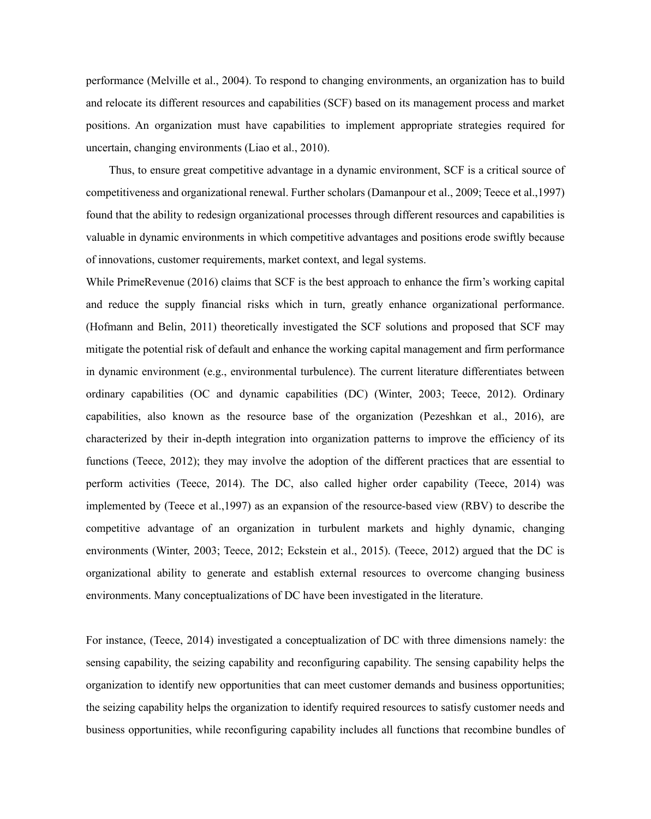performance (Melville et al., 2004). To respond to changing environments, an organization has to build and relocate its different resources and capabilities (SCF) based on its management process and market positions. An organization must have capabilities to implement appropriate strategies required for uncertain, changing environments (Liao et al., 2010).

Thus, to ensure great competitive advantage in a dynamic environment, SCF is a critical source of competitiveness and organizational renewal. Further scholars (Damanpour et al., 2009; Teece et al.,1997) found that the ability to redesign organizational processes through different resources and capabilities is valuable in dynamic environments in which competitive advantages and positions erode swiftly because of innovations, customer requirements, market context, and legal systems.

While PrimeRevenue (2016) claims that SCF is the best approach to enhance the firm's working capital and reduce the supply financial risks which in turn, greatly enhance organizational performance. (Hofmann and Belin, 2011) theoretically investigated the SCF solutions and proposed that SCF may mitigate the potential risk of default and enhance the working capital management and firm performance in dynamic environment (e.g., environmental turbulence). The current literature differentiates between ordinary capabilities (OC and dynamic capabilities (DC) (Winter, 2003; Teece, 2012). Ordinary capabilities, also known as the resource base of the organization (Pezeshkan et al., 2016), are characterized by their in-depth integration into organization patterns to improve the efficiency of its functions (Teece, 2012); they may involve the adoption of the different practices that are essential to perform activities (Teece, 2014). The DC, also called higher order capability (Teece, 2014) was implemented by (Teece et al.,1997) as an expansion of the resource-based view (RBV) to describe the competitive advantage of an organization in turbulent markets and highly dynamic, changing environments (Winter, 2003; Teece, 2012; Eckstein et al., 2015). (Teece, 2012) argued that the DC is organizational ability to generate and establish external resources to overcome changing business environments. Many conceptualizations of DC have been investigated in the literature.

For instance, (Teece, 2014) investigated a conceptualization of DC with three dimensions namely: the sensing capability, the seizing capability and reconfiguring capability. The sensing capability helps the organization to identify new opportunities that can meet customer demands and business opportunities; the seizing capability helps the organization to identify required resources to satisfy customer needs and business opportunities, while reconfiguring capability includes all functions that recombine bundles of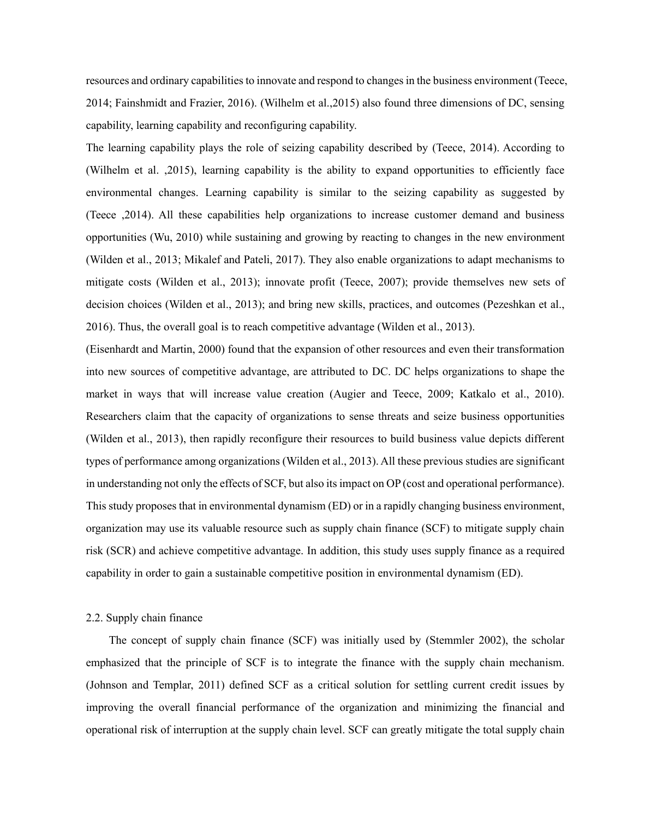resources and ordinary capabilities to innovate and respond to changes in the business environment (Teece, 2014; Fainshmidt and Frazier, 2016). (Wilhelm et al.,2015) also found three dimensions of DC, sensing capability, learning capability and reconfiguring capability.

The learning capability plays the role of seizing capability described by (Teece, 2014). According to (Wilhelm et al. ,2015), learning capability is the ability to expand opportunities to efficiently face environmental changes. Learning capability is similar to the seizing capability as suggested by (Teece ,2014). All these capabilities help organizations to increase customer demand and business opportunities (Wu, 2010) while sustaining and growing by reacting to changes in the new environment (Wilden et al., 2013; Mikalef and Pateli, 2017). They also enable organizations to adapt mechanisms to mitigate costs (Wilden et al., 2013); innovate profit (Teece, 2007); provide themselves new sets of decision choices (Wilden et al., 2013); and bring new skills, practices, and outcomes (Pezeshkan et al., 2016). Thus, the overall goal is to reach competitive advantage (Wilden et al., 2013).

(Eisenhardt and Martin, 2000) found that the expansion of other resources and even their transformation into new sources of competitive advantage, are attributed to DC. DC helps organizations to shape the market in ways that will increase value creation (Augier and Teece, 2009; Katkalo et al., 2010). Researchers claim that the capacity of organizations to sense threats and seize business opportunities (Wilden et al., 2013), then rapidly reconfigure their resources to build business value depicts different types of performance among organizations (Wilden et al., 2013). All these previous studies are significant in understanding not only the effects of SCF, but also its impact on OP (cost and operational performance). This study proposes that in environmental dynamism (ED) or in a rapidly changing business environment, organization may use its valuable resource such as supply chain finance (SCF) to mitigate supply chain risk (SCR) and achieve competitive advantage. In addition, this study uses supply finance as a required capability in order to gain a sustainable competitive position in environmental dynamism (ED).

#### 2.2. Supply chain finance

The concept of supply chain finance (SCF) was initially used by (Stemmler 2002), the scholar emphasized that the principle of SCF is to integrate the finance with the supply chain mechanism. (Johnson and Templar, 2011) defined SCF as a critical solution for settling current credit issues by improving the overall financial performance of the organization and minimizing the financial and operational risk of interruption at the supply chain level. SCF can greatly mitigate the total supply chain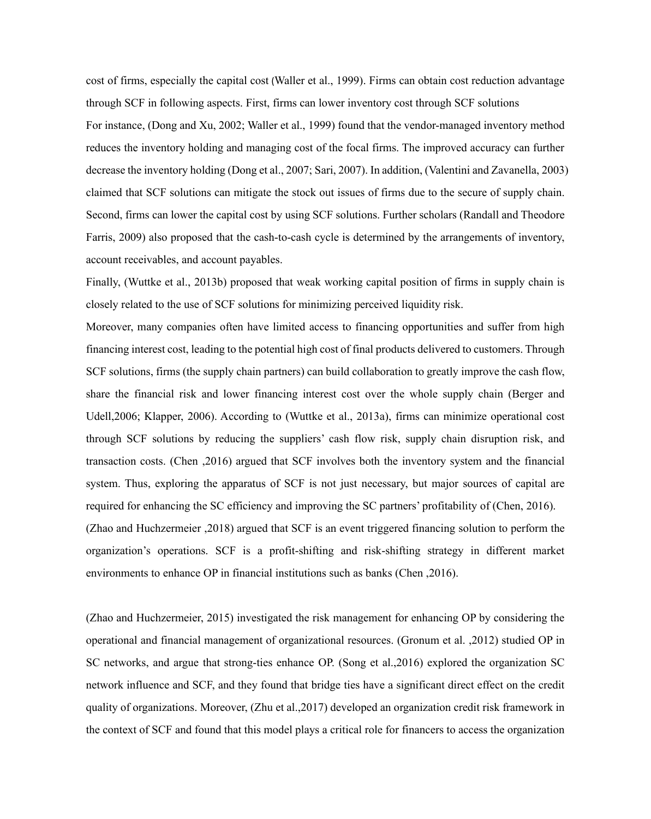cost of firms, especially the capital cost (Waller et al., 1999). Firms can obtain cost reduction advantage through SCF in following aspects. First, firms can lower inventory cost through SCF solutions For instance, (Dong and Xu, 2002; Waller et al., 1999) found that the vendor-managed inventory method reduces the inventory holding and managing cost of the focal firms. The improved accuracy can further decrease the inventory holding (Dong et al., 2007; Sari, 2007). In addition, (Valentini and Zavanella, 2003) claimed that SCF solutions can mitigate the stock out issues of firms due to the secure of supply chain. Second, firms can lower the capital cost by using SCF solutions. Further scholars (Randall and Theodore Farris, 2009) also proposed that the cash-to-cash cycle is determined by the arrangements of inventory, account receivables, and account payables.

Finally, (Wuttke et al., 2013b) proposed that weak working capital position of firms in supply chain is closely related to the use of SCF solutions for minimizing perceived liquidity risk.

Moreover, many companies often have limited access to financing opportunities and suffer from high financing interest cost, leading to the potential high cost of final products delivered to customers. Through SCF solutions, firms (the supply chain partners) can build collaboration to greatly improve the cash flow, share the financial risk and lower financing interest cost over the whole supply chain (Berger and Udell,2006; Klapper, 2006). According to (Wuttke et al., 2013a), firms can minimize operational cost through SCF solutions by reducing the suppliers' cash flow risk, supply chain disruption risk, and transaction costs. (Chen ,2016) argued that SCF involves both the inventory system and the financial system. Thus, exploring the apparatus of SCF is not just necessary, but major sources of capital are required for enhancing the SC efficiency and improving the SC partners' profitability of (Chen, 2016). (Zhao and Huchzermeier ,2018) argued that SCF is an event triggered financing solution to perform the organization's operations. SCF is a profit-shifting and risk-shifting strategy in different market environments to enhance OP in financial institutions such as banks (Chen ,2016).

(Zhao and Huchzermeier, 2015) investigated the risk management for enhancing OP by considering the operational and financial management of organizational resources. (Gronum et al. ,2012) studied OP in SC networks, and argue that strong-ties enhance OP. (Song et al.,2016) explored the organization SC network influence and SCF, and they found that bridge ties have a significant direct effect on the credit quality of organizations. Moreover, (Zhu et al.,2017) developed an organization credit risk framework in the context of SCF and found that this model plays a critical role for financers to access the organization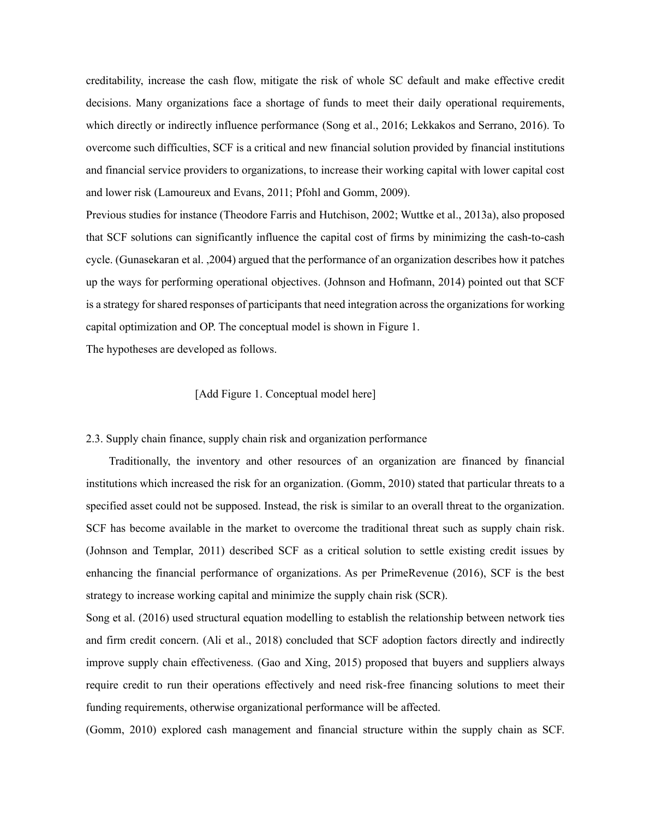creditability, increase the cash flow, mitigate the risk of whole SC default and make effective credit decisions. Many organizations face a shortage of funds to meet their daily operational requirements, which directly or indirectly influence performance (Song et al., 2016; Lekkakos and Serrano, 2016). To overcome such difficulties, SCF is a critical and new financial solution provided by financial institutions and financial service providers to organizations, to increase their working capital with lower capital cost and lower risk (Lamoureux and Evans, 2011; Pfohl and Gomm, 2009).

Previous studies for instance (Theodore Farris and Hutchison, 2002; Wuttke et al., 2013a), also proposed that SCF solutions can significantly influence the capital cost of firms by minimizing the cash-to-cash cycle. (Gunasekaran et al. ,2004) argued that the performance of an organization describes how it patches up the ways for performing operational objectives. (Johnson and Hofmann, 2014) pointed out that SCF is a strategy for shared responses of participants that need integration across the organizations for working capital optimization and OP. The conceptual model is shown in Figure 1.

The hypotheses are developed as follows.

#### [Add Figure 1. Conceptual model here]

#### 2.3. Supply chain finance, supply chain risk and organization performance

Traditionally, the inventory and other resources of an organization are financed by financial institutions which increased the risk for an organization. (Gomm, 2010) stated that particular threats to a specified asset could not be supposed. Instead, the risk is similar to an overall threat to the organization. SCF has become available in the market to overcome the traditional threat such as supply chain risk. (Johnson and Templar, 2011) described SCF as a critical solution to settle existing credit issues by enhancing the financial performance of organizations. As per PrimeRevenue (2016), SCF is the best strategy to increase working capital and minimize the supply chain risk (SCR).

Song et al. (2016) used structural equation modelling to establish the relationship between network ties and firm credit concern. (Ali et al., 2018) concluded that SCF adoption factors directly and indirectly improve supply chain effectiveness. (Gao and Xing, 2015) proposed that buyers and suppliers always require credit to run their operations effectively and need risk-free financing solutions to meet their funding requirements, otherwise organizational performance will be affected.

(Gomm, 2010) explored cash management and financial structure within the supply chain as SCF.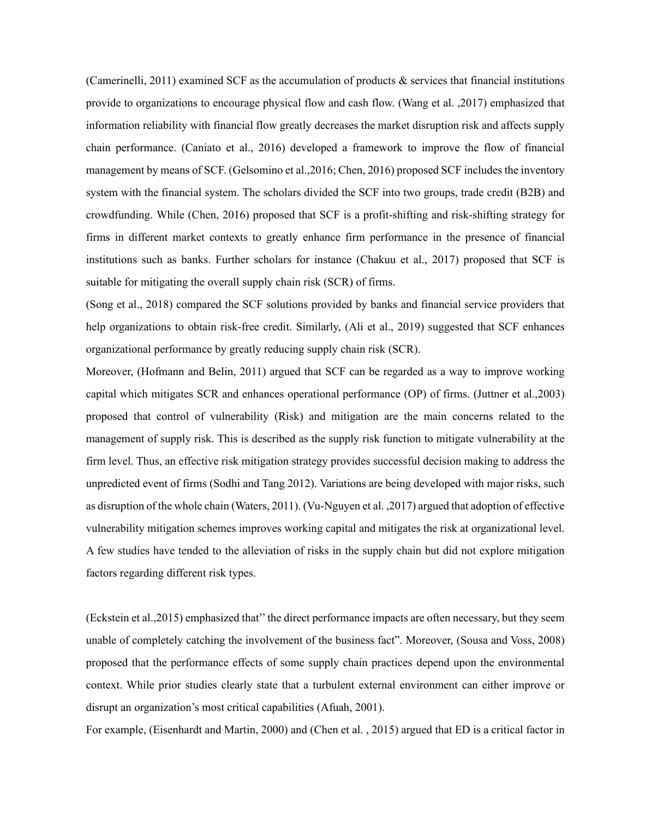(Camerinelli, 2011) examined SCF as the accumulation of products & services that financial institutions provide to organizations to encourage physical flow and cash flow. (Wang et al. ,2017) emphasized that information reliability with financial flow greatly decreases the market disruption risk and affects supply chain performance. (Caniato et al., 2016) developed a framework to improve the flow of financial management by means of SCF. (Gelsomino et al.,2016; Chen, 2016) proposed SCF includes the inventory system with the financial system. The scholars divided the SCF into two groups, trade credit (B2B) and crowdfunding. While (Chen, 2016) proposed that SCF is a profit-shifting and risk-shifting strategy for firms in different market contexts to greatly enhance firm performance in the presence of financial institutions such as banks. Further scholars for instance (Chakuu et al., 2017) proposed that SCF is suitable for mitigating the overall supply chain risk (SCR) of firms.

(Song et al., 2018) compared the SCF solutions provided by banks and financial service providers that help organizations to obtain risk-free credit. Similarly, (Ali et al., 2019) suggested that SCF enhances organizational performance by greatly reducing supply chain risk (SCR).

Moreover, (Hofmann and Belin, 2011) argued that SCF can be regarded as a way to improve working capital which mitigates SCR and enhances operational performance (OP) of firms. (Juttner et al.,2003) proposed that control of vulnerability (Risk) and mitigation are the main concerns related to the management of supply risk. This is described as the supply risk function to mitigate vulnerability at the firm level. Thus, an effective risk mitigation strategy provides successful decision making to address the unpredicted event of firms (Sodhi and Tang 2012). Variations are being developed with major risks, such as disruption of the whole chain (Waters, 2011). (Vu-Nguyen et al. ,2017) argued that adoption of effective vulnerability mitigation schemes improves working capital and mitigates the risk at organizational level. A few studies have tended to the alleviation of risks in the supply chain but did not explore mitigation factors regarding different risk types.

(Eckstein et al.,2015) emphasized that'' the direct performance impacts are often necessary, but they seem unable of completely catching the involvement of the business fact". Moreover, (Sousa and Voss, 2008) proposed that the performance effects of some supply chain practices depend upon the environmental context. While prior studies clearly state that a turbulent external environment can either improve or disrupt an organization's most critical capabilities (Afuah, 2001).

For example, (Eisenhardt and Martin, 2000) and (Chen et al. , 2015) argued that ED is a critical factor in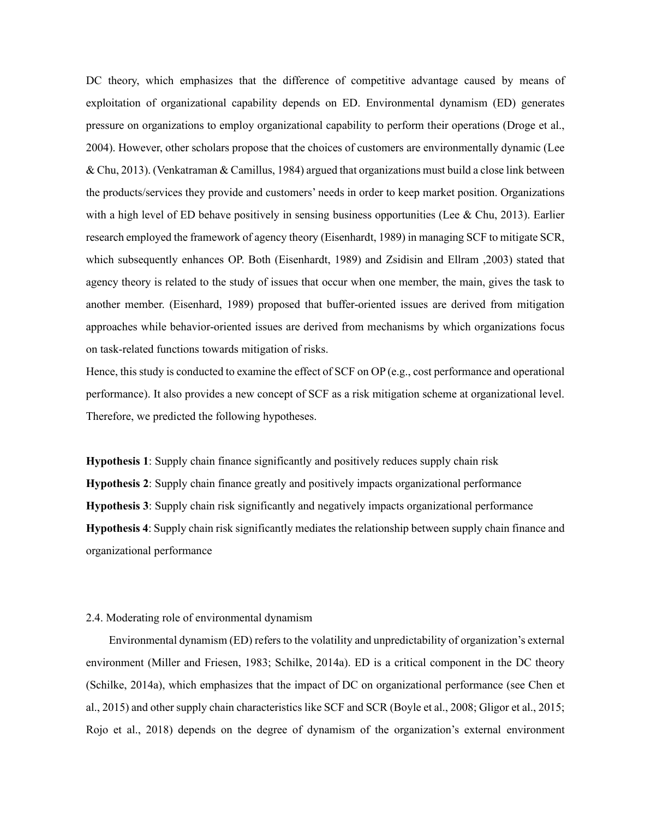DC theory, which emphasizes that the difference of competitive advantage caused by means of exploitation of organizational capability depends on ED. Environmental dynamism (ED) generates pressure on organizations to employ organizational capability to perform their operations (Droge et al., 2004). However, other scholars propose that the choices of customers are environmentally dynamic (Lee & Chu, 2013). (Venkatraman & Camillus, 1984) argued that organizations must build a close link between the products/services they provide and customers' needs in order to keep market position. Organizations with a high level of ED behave positively in sensing business opportunities (Lee & Chu, 2013). Earlier research employed the framework of agency theory (Eisenhardt, 1989) in managing SCF to mitigate SCR, which subsequently enhances OP. Both (Eisenhardt, 1989) and Zsidisin and Ellram ,2003) stated that agency theory is related to the study of issues that occur when one member, the main, gives the task to another member. (Eisenhard, 1989) proposed that buffer-oriented issues are derived from mitigation approaches while behavior-oriented issues are derived from mechanisms by which organizations focus on task-related functions towards mitigation of risks.

Hence, this study is conducted to examine the effect of SCF on OP (e.g., cost performance and operational performance). It also provides a new concept of SCF as a risk mitigation scheme at organizational level. Therefore, we predicted the following hypotheses.

**Hypothesis 1**: Supply chain finance significantly and positively reduces supply chain risk **Hypothesis 2**: Supply chain finance greatly and positively impacts organizational performance **Hypothesis 3**: Supply chain risk significantly and negatively impacts organizational performance **Hypothesis 4**: Supply chain risk significantly mediates the relationship between supply chain finance and organizational performance

#### 2.4. Moderating role of environmental dynamism

Environmental dynamism (ED) refers to the volatility and unpredictability of organization's external environment (Miller and Friesen, 1983; Schilke, 2014a). ED is a critical component in the DC theory (Schilke, 2014a), which emphasizes that the impact of DC on organizational performance (see Chen et al., 2015) and other supply chain characteristics like SCF and SCR (Boyle et al., 2008; Gligor et al., 2015; Rojo et al., 2018) depends on the degree of dynamism of the organization's external environment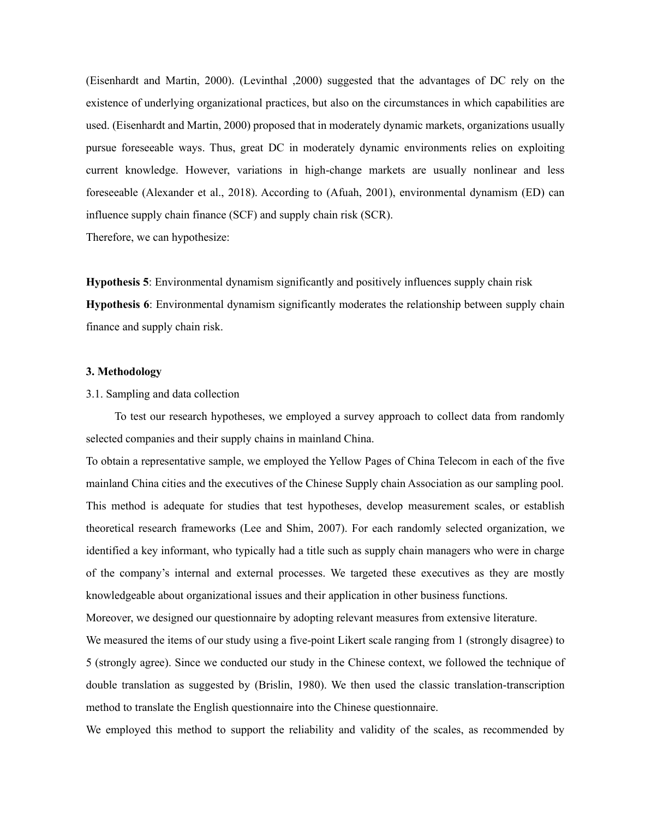(Eisenhardt and Martin, 2000). (Levinthal ,2000) suggested that the advantages of DC rely on the existence of underlying organizational practices, but also on the circumstances in which capabilities are used. (Eisenhardt and Martin, 2000) proposed that in moderately dynamic markets, organizations usually pursue foreseeable ways. Thus, great DC in moderately dynamic environments relies on exploiting current knowledge. However, variations in high-change markets are usually nonlinear and less foreseeable (Alexander et al., 2018). According to (Afuah, 2001), environmental dynamism (ED) can influence supply chain finance (SCF) and supply chain risk (SCR).

Therefore, we can hypothesize:

**Hypothesis 5**: Environmental dynamism significantly and positively influences supply chain risk **Hypothesis 6**: Environmental dynamism significantly moderates the relationship between supply chain finance and supply chain risk.

#### **3. Methodology**

#### 3.1. Sampling and data collection

To test our research hypotheses, we employed a survey approach to collect data from randomly selected companies and their supply chains in mainland China.

To obtain a representative sample, we employed the Yellow Pages of China Telecom in each of the five mainland China cities and the executives of the Chinese Supply chain Association as our sampling pool. This method is adequate for studies that test hypotheses, develop measurement scales, or establish theoretical research frameworks (Lee and Shim, 2007). For each randomly selected organization, we identified a key informant, who typically had a title such as supply chain managers who were in charge of the company's internal and external processes. We targeted these executives as they are mostly knowledgeable about organizational issues and their application in other business functions.

Moreover, we designed our questionnaire by adopting relevant measures from extensive literature.

We measured the items of our study using a five-point Likert scale ranging from 1 (strongly disagree) to 5 (strongly agree). Since we conducted our study in the Chinese context, we followed the technique of double translation as suggested by (Brislin, 1980). We then used the classic translation-transcription method to translate the English questionnaire into the Chinese questionnaire.

We employed this method to support the reliability and validity of the scales, as recommended by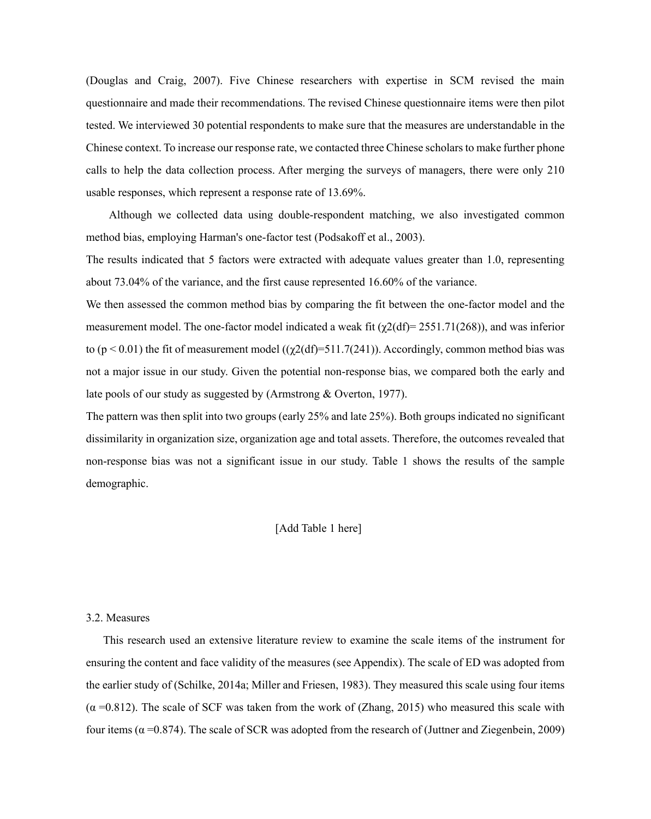(Douglas and Craig, 2007). Five Chinese researchers with expertise in SCM revised the main questionnaire and made their recommendations. The revised Chinese questionnaire items were then pilot tested. We interviewed 30 potential respondents to make sure that the measures are understandable in the Chinese context. To increase our response rate, we contacted three Chinese scholars to make further phone calls to help the data collection process. After merging the surveys of managers, there were only 210 usable responses, which represent a response rate of 13.69%.

Although we collected data using double-respondent matching, we also investigated common method bias, employing Harman's one-factor test (Podsakoff et al., 2003).

The results indicated that 5 factors were extracted with adequate values greater than 1.0, representing about 73.04% of the variance, and the first cause represented 16.60% of the variance.

We then assessed the common method bias by comparing the fit between the one-factor model and the measurement model. The one-factor model indicated a weak fit  $(\gamma 2(df)= 2551.71(268))$ , and was inferior to ( $p < 0.01$ ) the fit of measurement model (( $\gamma$ 2(df)=511.7(241)). Accordingly, common method bias was not a major issue in our study. Given the potential non-response bias, we compared both the early and late pools of our study as suggested by (Armstrong & Overton, 1977).

The pattern was then split into two groups (early 25% and late 25%). Both groups indicated no significant dissimilarity in organization size, organization age and total assets. Therefore, the outcomes revealed that non-response bias was not a significant issue in our study. Table 1 shows the results of the sample demographic.

#### [Add Table 1 here]

#### 3.2. Measures

This research used an extensive literature review to examine the scale items of the instrument for ensuring the content and face validity of the measures (see Appendix). The scale of ED was adopted from the earlier study of (Schilke, 2014a; Miller and Friesen, 1983). They measured this scale using four items  $(\alpha = 0.812)$ . The scale of SCF was taken from the work of (Zhang, 2015) who measured this scale with four items ( $α = 0.874$ ). The scale of SCR was adopted from the research of (Juttner and Ziegenbein, 2009)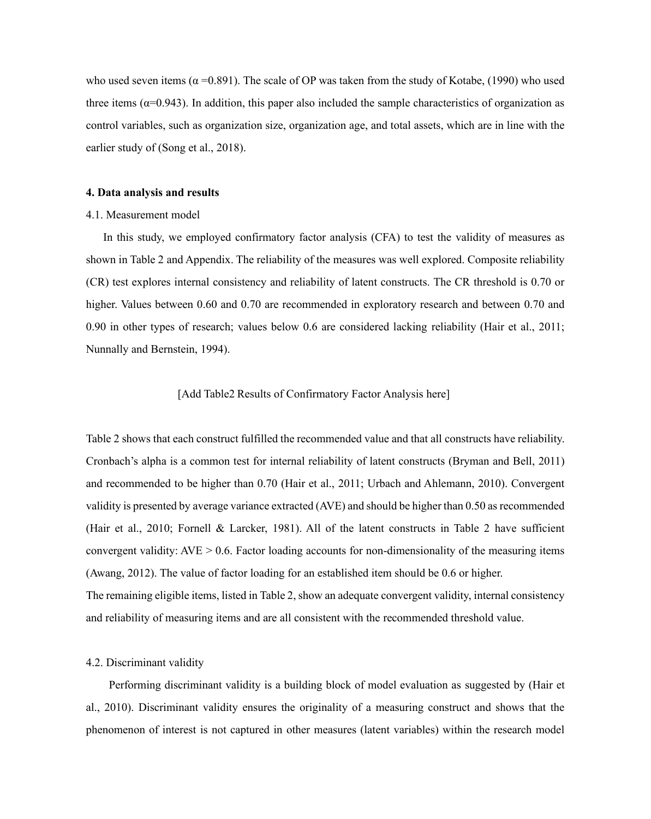who used seven items ( $\alpha$  =0.891). The scale of OP was taken from the study of Kotabe, (1990) who used three items ( $\alpha$ =0.943). In addition, this paper also included the sample characteristics of organization as control variables, such as organization size, organization age, and total assets, which are in line with the earlier study of (Song et al., 2018).

#### **4. Data analysis and results**

#### 4.1. Measurement model

In this study, we employed confirmatory factor analysis (CFA) to test the validity of measures as shown in Table 2 and Appendix. The reliability of the measures was well explored. Composite reliability (CR) test explores internal consistency and reliability of latent constructs. The CR threshold is 0.70 or higher. Values between 0.60 and 0.70 are recommended in exploratory research and between 0.70 and 0.90 in other types of research; values below 0.6 are considered lacking reliability (Hair et al., 2011; Nunnally and Bernstein, 1994).

#### [Add Table2 Results of Confirmatory Factor Analysis here]

Table 2 shows that each construct fulfilled the recommended value and that all constructs have reliability. Cronbach's alpha is a common test for internal reliability of latent constructs (Bryman and Bell, 2011) and recommended to be higher than 0.70 (Hair et al., 2011; Urbach and Ahlemann, 2010). Convergent validity is presented by average variance extracted (AVE) and should be higher than 0.50 as recommended (Hair et al., 2010; Fornell & Larcker, 1981). All of the latent constructs in Table 2 have sufficient convergent validity:  $AVE > 0.6$ . Factor loading accounts for non-dimensionality of the measuring items (Awang, 2012). The value of factor loading for an established item should be 0.6 or higher. The remaining eligible items, listed in Table 2, show an adequate convergent validity, internal consistency and reliability of measuring items and are all consistent with the recommended threshold value.

#### 4.2. Discriminant validity

Performing discriminant validity is a building block of model evaluation as suggested by (Hair et al., 2010). Discriminant validity ensures the originality of a measuring construct and shows that the phenomenon of interest is not captured in other measures (latent variables) within the research model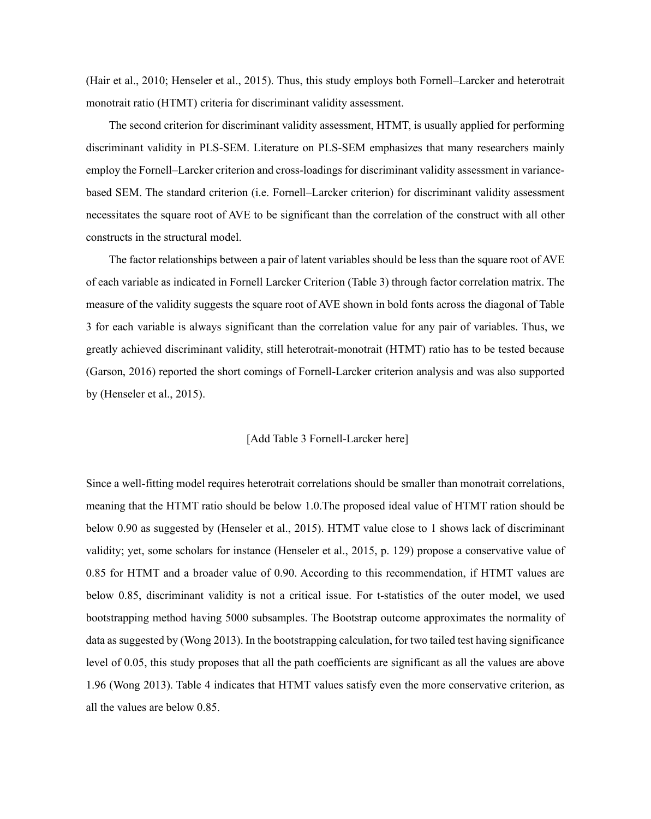(Hair et al., 2010; Henseler et al., 2015). Thus, this study employs both Fornell–Larcker and heterotrait monotrait ratio (HTMT) criteria for discriminant validity assessment.

The second criterion for discriminant validity assessment, HTMT, is usually applied for performing discriminant validity in PLS-SEM. Literature on PLS-SEM emphasizes that many researchers mainly employ the Fornell–Larcker criterion and cross-loadings for discriminant validity assessment in variancebased SEM. The standard criterion (i.e. Fornell–Larcker criterion) for discriminant validity assessment necessitates the square root of AVE to be significant than the correlation of the construct with all other constructs in the structural model.

The factor relationships between a pair of latent variables should be less than the square root of AVE of each variable as indicated in Fornell Larcker Criterion (Table 3) through factor correlation matrix. The measure of the validity suggests the square root of AVE shown in bold fonts across the diagonal of Table 3 for each variable is always significant than the correlation value for any pair of variables. Thus, we greatly achieved discriminant validity, still heterotrait-monotrait (HTMT) ratio has to be tested because (Garson, 2016) reported the short comings of Fornell-Larcker criterion analysis and was also supported by (Henseler et al., 2015).

#### [Add Table 3 Fornell-Larcker here]

Since a well-fitting model requires heterotrait correlations should be smaller than monotrait correlations, meaning that the HTMT ratio should be below 1.0.The proposed ideal value of HTMT ration should be below 0.90 as suggested by (Henseler et al., 2015). HTMT value close to 1 shows lack of discriminant validity; yet, some scholars for instance (Henseler et al., 2015, p. 129) propose a conservative value of 0.85 for HTMT and a broader value of 0.90. According to this recommendation, if HTMT values are below 0.85, discriminant validity is not a critical issue. For t-statistics of the outer model, we used bootstrapping method having 5000 subsamples. The Bootstrap outcome approximates the normality of data as suggested by (Wong 2013). In the bootstrapping calculation, for two tailed test having significance level of 0.05, this study proposes that all the path coefficients are significant as all the values are above 1.96 (Wong 2013). Table 4 indicates that HTMT values satisfy even the more conservative criterion, as all the values are below 0.85.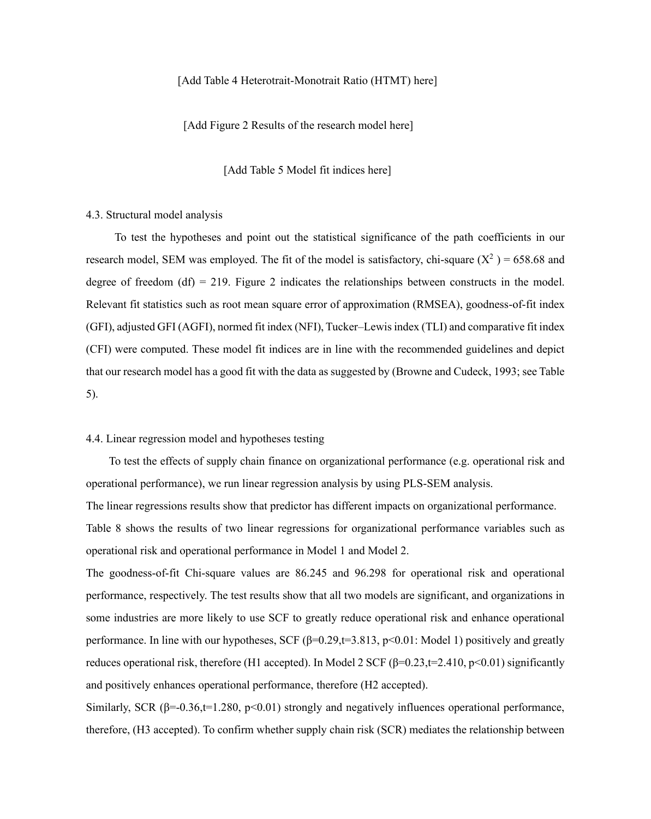#### [Add Table 4 Heterotrait-Monotrait Ratio (HTMT) here]

[Add Figure 2 Results of the research model here]

[Add Table 5 Model fit indices here]

#### 4.3. Structural model analysis

To test the hypotheses and point out the statistical significance of the path coefficients in our research model, SEM was employed. The fit of the model is satisfactory, chi-square  $(X^2)$  = 658.68 and degree of freedom (df) = 219. Figure 2 indicates the relationships between constructs in the model. Relevant fit statistics such as root mean square error of approximation (RMSEA), goodness-of-fit index (GFI), adjusted GFI (AGFI), normed fit index (NFI), Tucker–Lewis index (TLI) and comparative fit index (CFI) were computed. These model fit indices are in line with the recommended guidelines and depict that our research model has a good fit with the data as suggested by (Browne and Cudeck, 1993; see Table 5).

#### 4.4. Linear regression model and hypotheses testing

 To test the effects of supply chain finance on organizational performance (e.g. operational risk and operational performance), we run linear regression analysis by using PLS-SEM analysis.

The linear regressions results show that predictor has different impacts on organizational performance. Table 8 shows the results of two linear regressions for organizational performance variables such as operational risk and operational performance in Model 1 and Model 2.

The goodness-of-fit Chi-square values are 86.245 and 96.298 for operational risk and operational performance, respectively. The test results show that all two models are significant, and organizations in some industries are more likely to use SCF to greatly reduce operational risk and enhance operational performance. In line with our hypotheses, SCF ( $\beta$ =0.29,t=3.813, p<0.01: Model 1) positively and greatly reduces operational risk, therefore (H1 accepted). In Model 2 SCF (β=0.23,t=2.410, p<0.01) significantly and positively enhances operational performance, therefore (H2 accepted).

Similarly, SCR ( $\beta$ =-0.36,t=1.280, p<0.01) strongly and negatively influences operational performance, therefore, (H3 accepted). To confirm whether supply chain risk (SCR) mediates the relationship between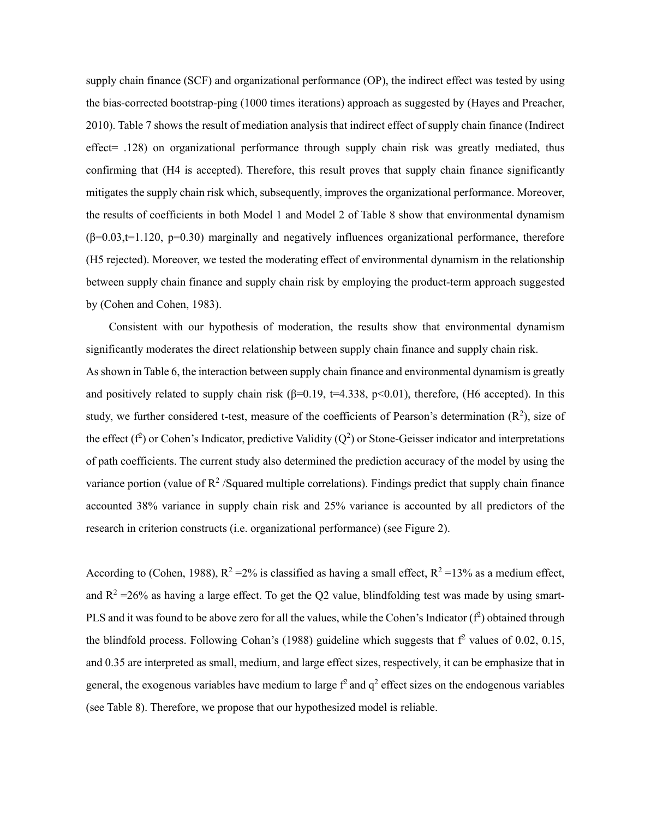supply chain finance (SCF) and organizational performance (OP), the indirect effect was tested by using the bias-corrected bootstrap-ping (1000 times iterations) approach as suggested by (Hayes and Preacher, 2010). Table 7 shows the result of mediation analysis that indirect effect of supply chain finance (Indirect effect= .128) on organizational performance through supply chain risk was greatly mediated, thus confirming that (H4 is accepted). Therefore, this result proves that supply chain finance significantly mitigates the supply chain risk which, subsequently, improves the organizational performance. Moreover, the results of coefficients in both Model 1 and Model 2 of Table 8 show that environmental dynamism  $(\beta=0.03,t=1.120, p=0.30)$  marginally and negatively influences organizational performance, therefore (H5 rejected). Moreover, we tested the moderating effect of environmental dynamism in the relationship between supply chain finance and supply chain risk by employing the product-term approach suggested by (Cohen and Cohen, 1983).

Consistent with our hypothesis of moderation, the results show that environmental dynamism significantly moderates the direct relationship between supply chain finance and supply chain risk. As shown in Table 6, the interaction between supply chain finance and environmental dynamism is greatly and positively related to supply chain risk ( $\beta$ =0.19, t=4.338, p<0.01), therefore, (H6 accepted). In this study, we further considered t-test, measure of the coefficients of Pearson's determination  $(R^2)$ , size of the effect ( $f^2$ ) or Cohen's Indicator, predictive Validity ( $Q^2$ ) or Stone-Geisser indicator and interpretations of path coefficients. The current study also determined the prediction accuracy of the model by using the variance portion (value of  $\mathbb{R}^2$  /Squared multiple correlations). Findings predict that supply chain finance accounted 38% variance in supply chain risk and 25% variance is accounted by all predictors of the research in criterion constructs (i.e. organizational performance) (see Figure 2).

According to (Cohen, 1988),  $R^2 = 2\%$  is classified as having a small effect,  $R^2 = 13\%$  as a medium effect, and  $R^2 = 26\%$  as having a large effect. To get the Q2 value, blindfolding test was made by using smart-PLS and it was found to be above zero for all the values, while the Cohen's Indicator  $(f^2)$  obtained through the blindfold process. Following Cohan's (1988) guideline which suggests that  $f^2$  values of 0.02, 0.15, and 0.35 are interpreted as small, medium, and large effect sizes, respectively, it can be emphasize that in general, the exogenous variables have medium to large  $f^2$  and  $q^2$  effect sizes on the endogenous variables (see Table 8). Therefore, we propose that our hypothesized model is reliable.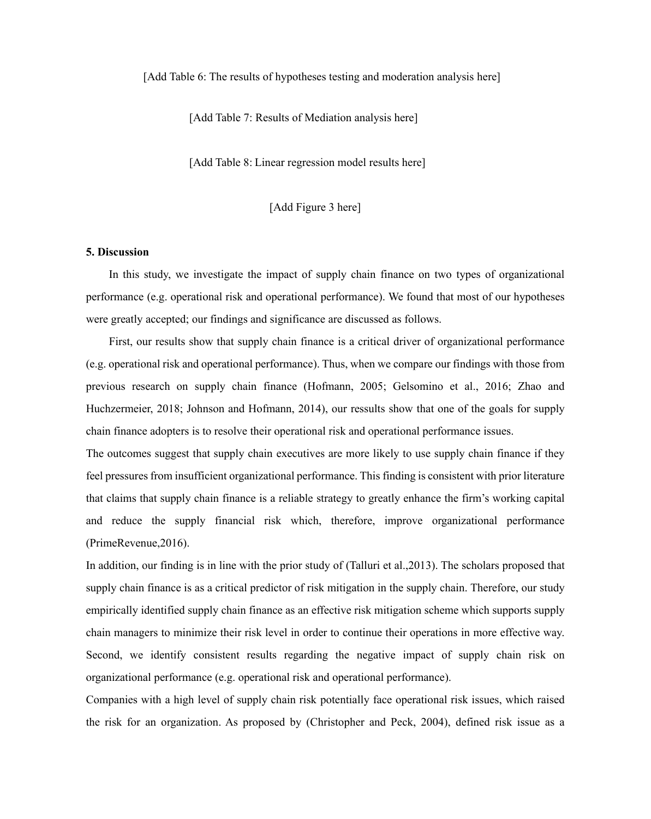[Add Table 6: The results of hypotheses testing and moderation analysis here]

[Add Table 7: Results of Mediation analysis here]

[Add Table 8: Linear regression model results here]

[Add Figure 3 here]

#### **5. Discussion**

In this study, we investigate the impact of supply chain finance on two types of organizational performance (e.g. operational risk and operational performance). We found that most of our hypotheses were greatly accepted; our findings and significance are discussed as follows.

First, our results show that supply chain finance is a critical driver of organizational performance (e.g. operational risk and operational performance). Thus, when we compare our findings with those from previous research on supply chain finance (Hofmann, 2005; Gelsomino et al., 2016; Zhao and Huchzermeier, 2018; Johnson and Hofmann, 2014), our ressults show that one of the goals for supply chain finance adopters is to resolve their operational risk and operational performance issues.

The outcomes suggest that supply chain executives are more likely to use supply chain finance if they feel pressures from insufficient organizational performance. This finding is consistent with prior literature that claims that supply chain finance is a reliable strategy to greatly enhance the firm's working capital and reduce the supply financial risk which, therefore, improve organizational performance (PrimeRevenue,2016).

In addition, our finding is in line with the prior study of (Talluri et al.,2013). The scholars proposed that supply chain finance is as a critical predictor of risk mitigation in the supply chain. Therefore, our study empirically identified supply chain finance as an effective risk mitigation scheme which supports supply chain managers to minimize their risk level in order to continue their operations in more effective way. Second, we identify consistent results regarding the negative impact of supply chain risk on organizational performance (e.g. operational risk and operational performance).

Companies with a high level of supply chain risk potentially face operational risk issues, which raised the risk for an organization. As proposed by (Christopher and Peck, 2004), defined risk issue as a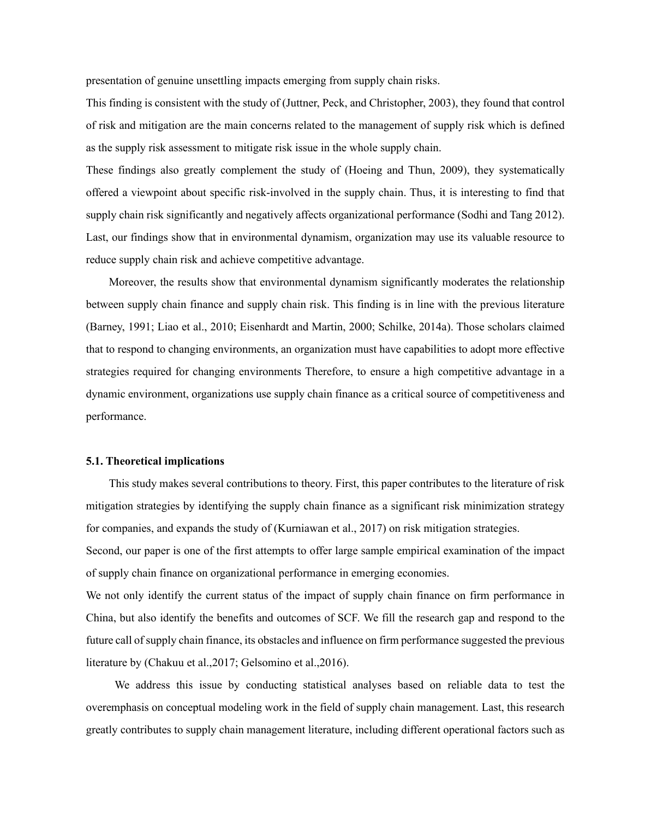presentation of genuine unsettling impacts emerging from supply chain risks.

This finding is consistent with the study of (Juttner, Peck, and Christopher, 2003), they found that control of risk and mitigation are the main concerns related to the management of supply risk which is defined as the supply risk assessment to mitigate risk issue in the whole supply chain.

These findings also greatly complement the study of (Hoeing and Thun, 2009), they systematically offered a viewpoint about specific risk-involved in the supply chain. Thus, it is interesting to find that supply chain risk significantly and negatively affects organizational performance (Sodhi and Tang 2012). Last, our findings show that in environmental dynamism, organization may use its valuable resource to reduce supply chain risk and achieve competitive advantage.

Moreover, the results show that environmental dynamism significantly moderates the relationship between supply chain finance and supply chain risk. This finding is in line with the previous literature (Barney, 1991; Liao et al., 2010; Eisenhardt and Martin, 2000; Schilke, 2014a). Those scholars claimed that to respond to changing environments, an organization must have capabilities to adopt more effective strategies required for changing environments Therefore, to ensure a high competitive advantage in a dynamic environment, organizations use supply chain finance as a critical source of competitiveness and performance.

#### **5.1. Theoretical implications**

This study makes several contributions to theory. First, this paper contributes to the literature of risk mitigation strategies by identifying the supply chain finance as a significant risk minimization strategy for companies, and expands the study of (Kurniawan et al., 2017) on risk mitigation strategies.

Second, our paper is one of the first attempts to offer large sample empirical examination of the impact of supply chain finance on organizational performance in emerging economies.

We not only identify the current status of the impact of supply chain finance on firm performance in China, but also identify the benefits and outcomes of SCF. We fill the research gap and respond to the future call of supply chain finance, its obstacles and influence on firm performance suggested the previous literature by (Chakuu et al.,2017; Gelsomino et al.,2016).

We address this issue by conducting statistical analyses based on reliable data to test the overemphasis on conceptual modeling work in the field of supply chain management. Last, this research greatly contributes to supply chain management literature, including different operational factors such as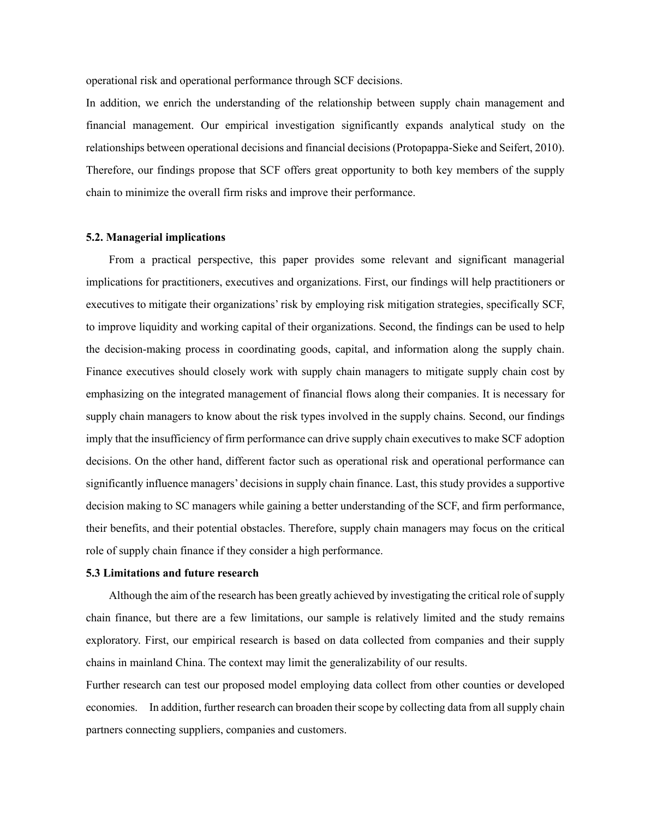operational risk and operational performance through SCF decisions.

In addition, we enrich the understanding of the relationship between supply chain management and financial management. Our empirical investigation significantly expands analytical study on the relationships between operational decisions and financial decisions (Protopappa-Sieke and Seifert, 2010). Therefore, our findings propose that SCF offers great opportunity to both key members of the supply chain to minimize the overall firm risks and improve their performance.

#### **5.2. Managerial implications**

From a practical perspective, this paper provides some relevant and significant managerial implications for practitioners, executives and organizations. First, our findings will help practitioners or executives to mitigate their organizations' risk by employing risk mitigation strategies, specifically SCF, to improve liquidity and working capital of their organizations. Second, the findings can be used to help the decision-making process in coordinating goods, capital, and information along the supply chain. Finance executives should closely work with supply chain managers to mitigate supply chain cost by emphasizing on the integrated management of financial flows along their companies. It is necessary for supply chain managers to know about the risk types involved in the supply chains. Second, our findings imply that the insufficiency of firm performance can drive supply chain executives to make SCF adoption decisions. On the other hand, different factor such as operational risk and operational performance can significantly influence managers' decisions in supply chain finance. Last, this study provides a supportive decision making to SC managers while gaining a better understanding of the SCF, and firm performance, their benefits, and their potential obstacles. Therefore, supply chain managers may focus on the critical role of supply chain finance if they consider a high performance.

#### **5.3 Limitations and future research**

Although the aim of the research has been greatly achieved by investigating the critical role of supply chain finance, but there are a few limitations, our sample is relatively limited and the study remains exploratory. First, our empirical research is based on data collected from companies and their supply chains in mainland China. The context may limit the generalizability of our results.

Further research can test our proposed model employing data collect from other counties or developed economies. In addition, further research can broaden their scope by collecting data from all supply chain partners connecting suppliers, companies and customers.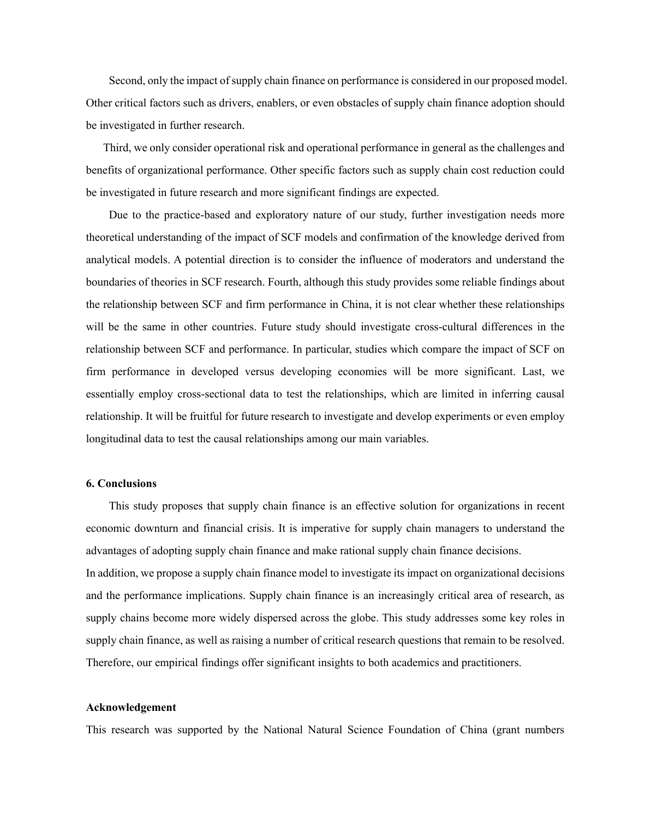Second, only the impact of supply chain finance on performance is considered in our proposed model. Other critical factors such as drivers, enablers, or even obstacles of supply chain finance adoption should be investigated in further research.

Third, we only consider operational risk and operational performance in general as the challenges and benefits of organizational performance. Other specific factors such as supply chain cost reduction could be investigated in future research and more significant findings are expected.

Due to the practice-based and exploratory nature of our study, further investigation needs more theoretical understanding of the impact of SCF models and confirmation of the knowledge derived from analytical models. A potential direction is to consider the influence of moderators and understand the boundaries of theories in SCF research. Fourth, although this study provides some reliable findings about the relationship between SCF and firm performance in China, it is not clear whether these relationships will be the same in other countries. Future study should investigate cross-cultural differences in the relationship between SCF and performance. In particular, studies which compare the impact of SCF on firm performance in developed versus developing economies will be more significant. Last, we essentially employ cross-sectional data to test the relationships, which are limited in inferring causal relationship. It will be fruitful for future research to investigate and develop experiments or even employ longitudinal data to test the causal relationships among our main variables.

#### **6. Conclusions**

 This study proposes that supply chain finance is an effective solution for organizations in recent economic downturn and financial crisis. It is imperative for supply chain managers to understand the advantages of adopting supply chain finance and make rational supply chain finance decisions. In addition, we propose a supply chain finance model to investigate its impact on organizational decisions and the performance implications. Supply chain finance is an increasingly critical area of research, as supply chains become more widely dispersed across the globe. This study addresses some key roles in supply chain finance, as well as raising a number of critical research questions that remain to be resolved. Therefore, our empirical findings offer significant insights to both academics and practitioners.

#### **Acknowledgement**

This research was supported by the National Natural Science Foundation of China (grant numbers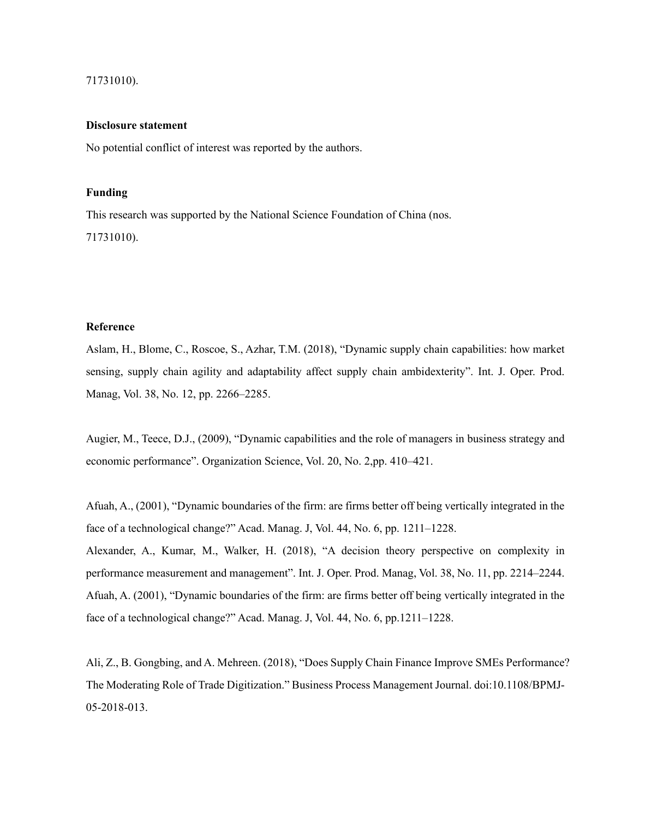## 71731010).

#### **Disclosure statement**

No potential conflict of interest was reported by the authors.

## **Funding**

This research was supported by the National Science Foundation of China (nos. 71731010).

#### **Reference**

Aslam, H., Blome, C., Roscoe, S., Azhar, T.M. (2018), "Dynamic supply chain capabilities: how market sensing, supply chain agility and adaptability affect supply chain ambidexterity". Int. J. Oper. Prod. Manag, Vol. 38, No. 12, pp. 2266–2285.

Augier, M., Teece, D.J., (2009), "Dynamic capabilities and the role of managers in business strategy and economic performance". Organization Science, Vol. 20, No. 2,pp. 410–421.

Afuah, A., (2001), "Dynamic boundaries of the firm: are firms better off being vertically integrated in the face of a technological change?" Acad. Manag. J, Vol. 44, No. 6, pp. 1211–1228. Alexander, A., Kumar, M., Walker, H. (2018), "A decision theory perspective on complexity in performance measurement and management". Int. J. Oper. Prod. Manag, Vol. 38, No. 11, pp. 2214–2244. Afuah, A. (2001), "Dynamic boundaries of the firm: are firms better off being vertically integrated in the face of a technological change?" Acad. Manag. J, Vol. 44, No. 6, pp.1211–1228.

Ali, Z., B. Gongbing, and A. Mehreen. (2018), "Does Supply Chain Finance Improve SMEs Performance? The Moderating Role of Trade Digitization." Business Process Management Journal. doi:10.1108/BPMJ-05-2018-013.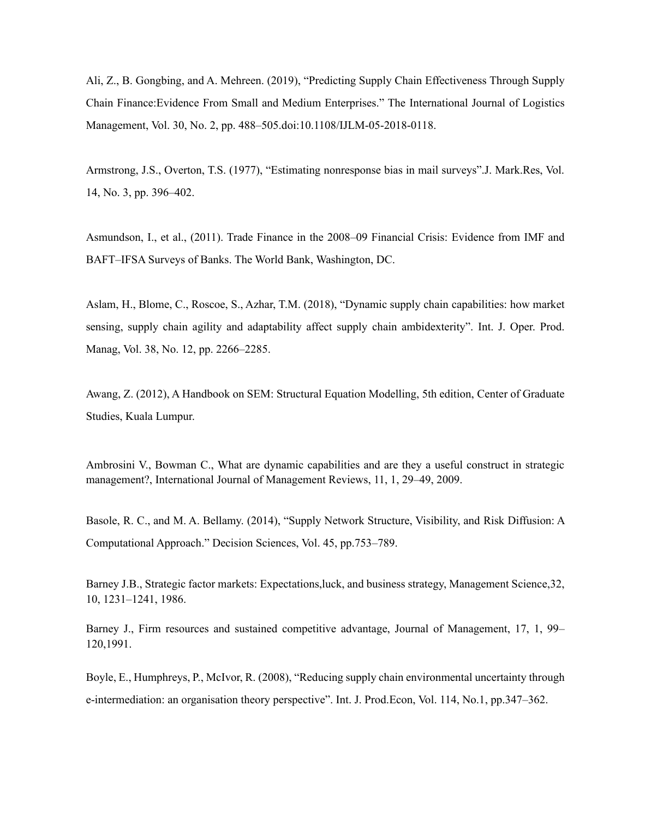Ali, Z., B. Gongbing, and A. Mehreen. (2019), "Predicting Supply Chain Effectiveness Through Supply Chain Finance:Evidence From Small and Medium Enterprises." The International Journal of Logistics Management, Vol. 30, No. 2, pp. 488–505.doi:10.1108/IJLM-05-2018-0118.

Armstrong, J.S., Overton, T.S. (1977), "Estimating nonresponse bias in mail surveys".J. Mark.Res, Vol. 14, No. 3, pp. 396–402.

Asmundson, I., et al., (2011). Trade Finance in the 2008–09 Financial Crisis: Evidence from IMF and BAFT–IFSA Surveys of Banks. The World Bank, Washington, DC.

Aslam, H., Blome, C., Roscoe, S., Azhar, T.M. (2018), "Dynamic supply chain capabilities: how market sensing, supply chain agility and adaptability affect supply chain ambidexterity". Int. J. Oper. Prod. Manag, Vol. 38, No. 12, pp. 2266–2285.

Awang, Z. (2012), A Handbook on SEM: Structural Equation Modelling, 5th edition, Center of Graduate Studies, Kuala Lumpur.

Ambrosini V., Bowman C., What are dynamic capabilities and are they a useful construct in strategic management?, International Journal of Management Reviews, 11, 1, 29–49, 2009.

Basole, R. C., and M. A. Bellamy. (2014), "Supply Network Structure, Visibility, and Risk Diffusion: A Computational Approach." Decision Sciences, Vol. 45, pp.753–789.

Barney J.B., Strategic factor markets: Expectations,luck, and business strategy, Management Science,32, 10, 1231–1241, 1986.

Barney J., Firm resources and sustained competitive advantage, Journal of Management, 17, 1, 99– 120,1991.

Boyle, E., Humphreys, P., McIvor, R. (2008), "Reducing supply chain environmental uncertainty through e-intermediation: an organisation theory perspective". Int. J. Prod.Econ, Vol. 114, No.1, pp.347–362.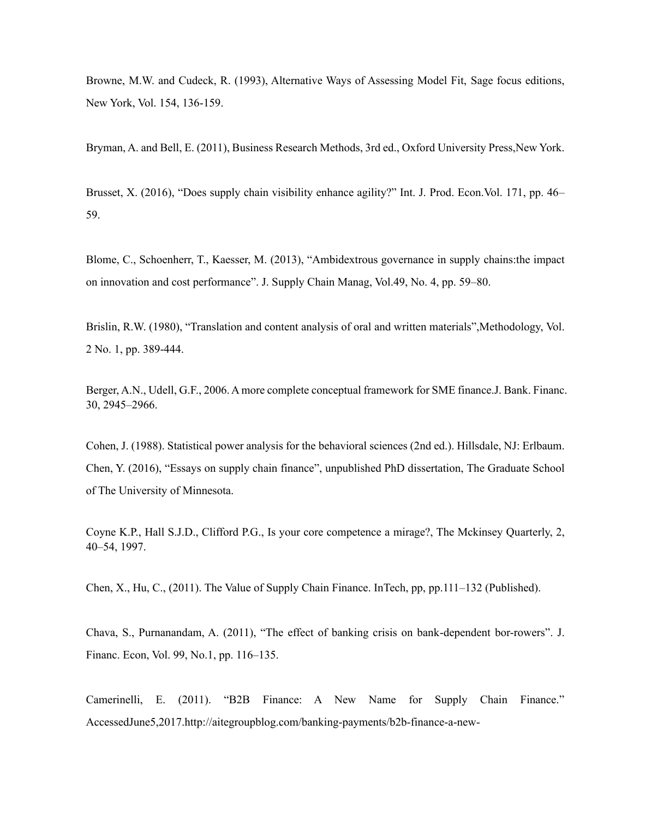Browne, M.W. and Cudeck, R. (1993), Alternative Ways of Assessing Model Fit, Sage focus editions, New York, Vol. 154, 136-159.

Bryman, A. and Bell, E. (2011), Business Research Methods, 3rd ed., Oxford University Press,New York.

Brusset, X. (2016), "Does supply chain visibility enhance agility?" Int. J. Prod. Econ.Vol. 171, pp. 46– 59.

Blome, C., Schoenherr, T., Kaesser, M. (2013), "Ambidextrous governance in supply chains:the impact on innovation and cost performance". J. Supply Chain Manag, Vol.49, No. 4, pp. 59–80.

Brislin, R.W. (1980), "Translation and content analysis of oral and written materials",Methodology, Vol. 2 No. 1, pp. 389-444.

Berger, A.N., Udell, G.F., 2006. A more complete conceptual framework for SME finance.J. Bank. Financ. 30, 2945–2966.

Cohen, J. (1988). Statistical power analysis for the behavioral sciences (2nd ed.). Hillsdale, NJ: Erlbaum. Chen, Y. (2016), "Essays on supply chain finance", unpublished PhD dissertation, The Graduate School of The University of Minnesota.

Coyne K.P., Hall S.J.D., Clifford P.G., Is your core competence a mirage?, The Mckinsey Quarterly, 2, 40–54, 1997.

Chen, X., Hu, C., (2011). The Value of Supply Chain Finance. InTech, pp, pp.111–132 (Published).

Chava, S., Purnanandam, A. (2011), "The effect of banking crisis on bank-dependent bor-rowers". J. Financ. Econ, Vol. 99, No.1, pp. 116–135.

Camerinelli, E. (2011). "B2B Finance: A New Name for Supply Chain Finance." AccessedJune5,2017.http://aitegroupblog.com/banking-payments/b2b-finance-a-new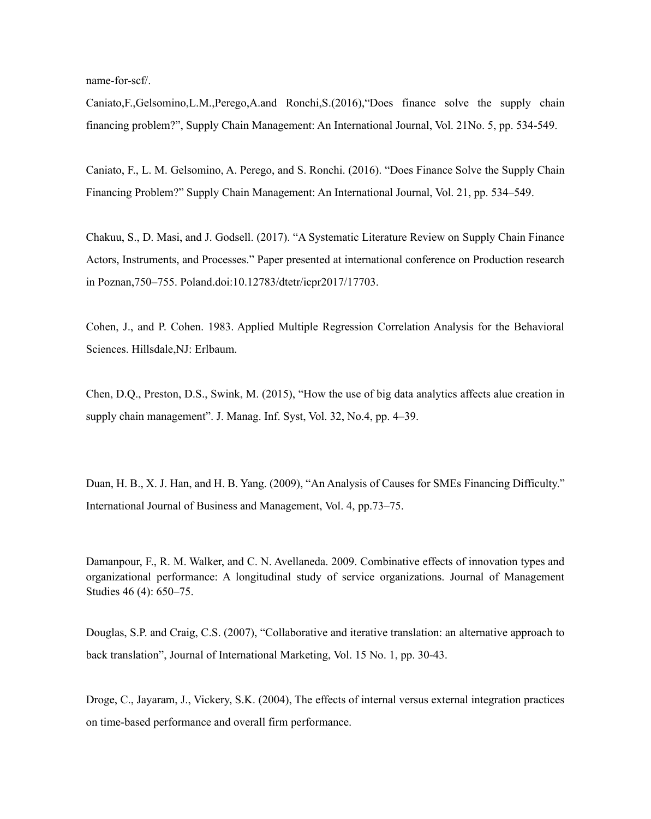name-for-scf/.

Caniato,F.,Gelsomino,L.M.,Perego,A.and Ronchi,S.(2016),"Does finance solve the supply chain financing problem?", Supply Chain Management: An International Journal, Vol. 21No. 5, pp. 534-549.

Caniato, F., L. M. Gelsomino, A. Perego, and S. Ronchi. (2016). "Does Finance Solve the Supply Chain Financing Problem?" Supply Chain Management: An International Journal, Vol. 21, pp. 534–549.

Chakuu, S., D. Masi, and J. Godsell. (2017). "A Systematic Literature Review on Supply Chain Finance Actors, Instruments, and Processes." Paper presented at international conference on Production research in Poznan,750–755. Poland.doi:10.12783/dtetr/icpr2017/17703.

Cohen, J., and P. Cohen. 1983. Applied Multiple Regression Correlation Analysis for the Behavioral Sciences. Hillsdale,NJ: Erlbaum.

Chen, D.Q., Preston, D.S., Swink, M. (2015), "How the use of big data analytics affects alue creation in supply chain management". J. Manag. Inf. Syst, Vol. 32, No.4, pp. 4–39.

Duan, H. B., X. J. Han, and H. B. Yang. (2009), "An Analysis of Causes for SMEs Financing Difficulty." International Journal of Business and Management, Vol. 4, pp.73–75.

Damanpour, F., R. M. Walker, and C. N. Avellaneda. 2009. Combinative effects of innovation types and organizational performance: A longitudinal study of service organizations. Journal of Management Studies 46 (4): 650–75.

Douglas, S.P. and Craig, C.S. (2007), "Collaborative and iterative translation: an alternative approach to back translation", Journal of International Marketing, Vol. 15 No. 1, pp. 30-43.

Droge, C., Jayaram, J., Vickery, S.K. (2004), The effects of internal versus external integration practices on time-based performance and overall firm performance.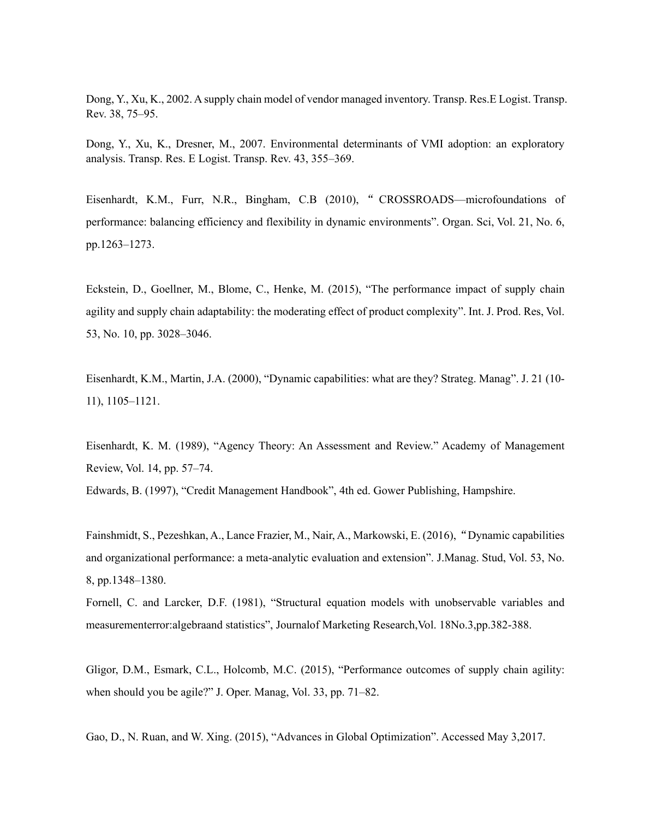Dong, Y., Xu, K., 2002. A supply chain model of vendor managed inventory. Transp. Res.E Logist. Transp. Rev. 38, 75–95.

Dong, Y., Xu, K., Dresner, M., 2007. Environmental determinants of VMI adoption: an exploratory analysis. Transp. Res. E Logist. Transp. Rev. 43, 355–369.

Eisenhardt, K.M., Furr, N.R., Bingham, C.B (2010), " CROSSROADS—microfoundations of performance: balancing efficiency and flexibility in dynamic environments". Organ. Sci, Vol. 21, No. 6, pp.1263–1273.

Eckstein, D., Goellner, M., Blome, C., Henke, M. (2015), "The performance impact of supply chain agility and supply chain adaptability: the moderating effect of product complexity". Int. J. Prod. Res, Vol. 53, No. 10, pp. 3028–3046.

Eisenhardt, K.M., Martin, J.A. (2000), "Dynamic capabilities: what are they? Strateg. Manag". J. 21 (10- 11), 1105–1121.

Eisenhardt, K. M. (1989), "Agency Theory: An Assessment and Review." Academy of Management Review, Vol. 14, pp. 57–74.

Edwards, B. (1997), "Credit Management Handbook", 4th ed. Gower Publishing, Hampshire.

Fainshmidt, S., Pezeshkan, A., Lance Frazier, M., Nair, A., Markowski, E. (2016),"Dynamic capabilities and organizational performance: a meta-analytic evaluation and extension". J.Manag. Stud, Vol. 53, No. 8, pp.1348–1380.

Fornell, C. and Larcker, D.F. (1981), "Structural equation models with unobservable variables and measurementerror:algebraand statistics", Journalof Marketing Research,Vol. 18No.3,pp.382-388.

Gligor, D.M., Esmark, C.L., Holcomb, M.C. (2015), "Performance outcomes of supply chain agility: when should you be agile?" J. Oper. Manag, Vol. 33, pp. 71–82.

Gao, D., N. Ruan, and W. Xing. (2015), "Advances in Global Optimization". Accessed May 3,2017.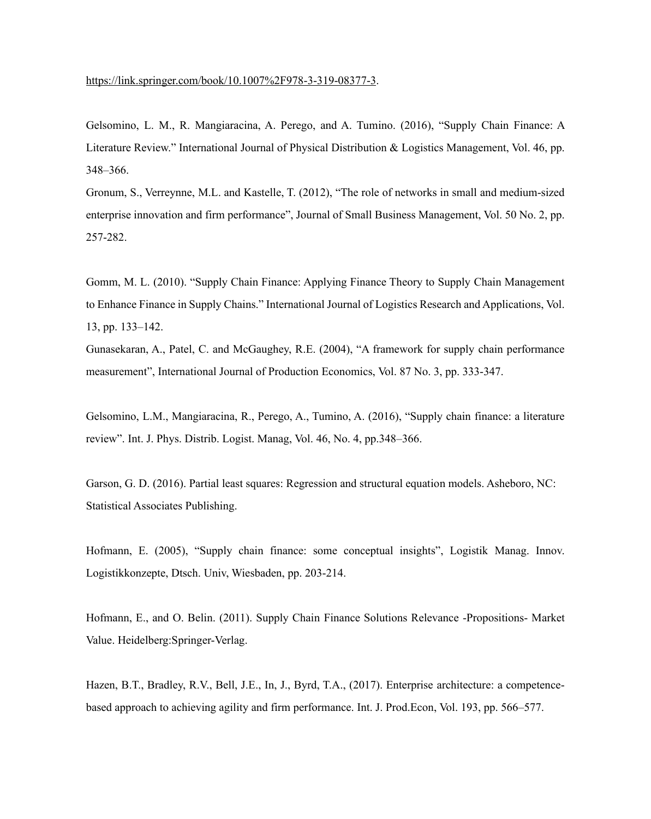Gelsomino, L. M., R. Mangiaracina, A. Perego, and A. Tumino. (2016), "Supply Chain Finance: A Literature Review." International Journal of Physical Distribution & Logistics Management, Vol. 46, pp. 348–366.

Gronum, S., Verreynne, M.L. and Kastelle, T. (2012), "The role of networks in small and medium-sized enterprise innovation and firm performance", Journal of Small Business Management, Vol. 50 No. 2, pp. 257-282.

Gomm, M. L. (2010). "Supply Chain Finance: Applying Finance Theory to Supply Chain Management to Enhance Finance in Supply Chains." International Journal of Logistics Research and Applications, Vol. 13, pp. 133–142.

Gunasekaran, A., Patel, C. and McGaughey, R.E. (2004), "A framework for supply chain performance measurement", International Journal of Production Economics, Vol. 87 No. 3, pp. 333-347.

Gelsomino, L.M., Mangiaracina, R., Perego, A., Tumino, A. (2016), "Supply chain finance: a literature review". Int. J. Phys. Distrib. Logist. Manag, Vol. 46, No. 4, pp.348–366.

Garson, G. D. (2016). Partial least squares: Regression and structural equation models. Asheboro, NC: Statistical Associates Publishing.

Hofmann, E. (2005), "Supply chain finance: some conceptual insights", Logistik Manag. Innov. Logistikkonzepte, Dtsch. Univ, Wiesbaden, pp. 203-214.

Hofmann, E., and O. Belin. (2011). Supply Chain Finance Solutions Relevance -Propositions- Market Value. Heidelberg:Springer-Verlag.

Hazen, B.T., Bradley, R.V., Bell, J.E., In, J., Byrd, T.A., (2017). Enterprise architecture: a competencebased approach to achieving agility and firm performance. Int. J. Prod.Econ, Vol. 193, pp. 566–577.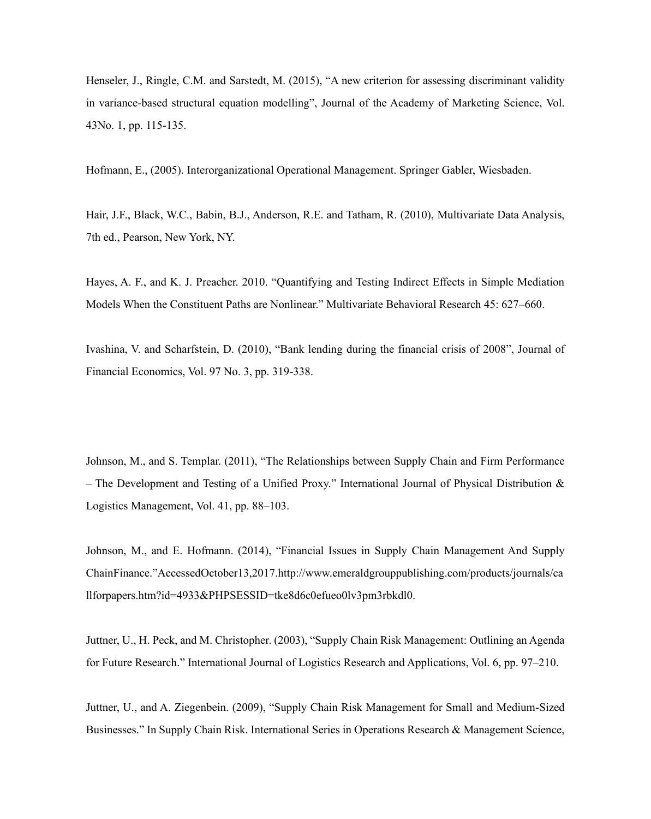Henseler, J., Ringle, C.M. and Sarstedt, M. (2015), "A new criterion for assessing discriminant validity in variance-based structural equation modelling", Journal of the Academy of Marketing Science, Vol. 43No. 1, pp. 115-135.

Hofmann, E., (2005). Interorganizational Operational Management. Springer Gabler, Wiesbaden.

Hair, J.F., Black, W.C., Babin, B.J., Anderson, R.E. and Tatham, R. (2010), Multivariate Data Analysis, 7th ed., Pearson, New York, NY.

Hayes, A. F., and K. J. Preacher. 2010. "Quantifying and Testing Indirect Effects in Simple Mediation Models When the Constituent Paths are Nonlinear." Multivariate Behavioral Research 45: 627–660.

Ivashina, V. and Scharfstein, D. (2010), "Bank lending during the financial crisis of 2008", Journal of Financial Economics, Vol. 97 No. 3, pp. 319-338.

Johnson, M., and S. Templar. (2011), "The Relationships between Supply Chain and Firm Performance – The Development and Testing of a Unified Proxy." International Journal of Physical Distribution & Logistics Management, Vol. 41, pp. 88–103.

Johnson, M., and E. Hofmann. (2014), "Financial Issues in Supply Chain Management And Supply ChainFinance."AccessedOctober13,2017.http://www.emeraldgrouppublishing.com/products/journals/ca llforpapers.htm?id=4933&PHPSESSID=tke8d6c0efueo0lv3pm3rbkdl0.

Juttner, U., H. Peck, and M. Christopher. (2003), "Supply Chain Risk Management: Outlining an Agenda for Future Research." International Journal of Logistics Research and Applications, Vol. 6, pp. 97–210.

Juttner, U., and A. Ziegenbein. (2009), "Supply Chain Risk Management for Small and Medium-Sized Businesses." In Supply Chain Risk. International Series in Operations Research & Management Science,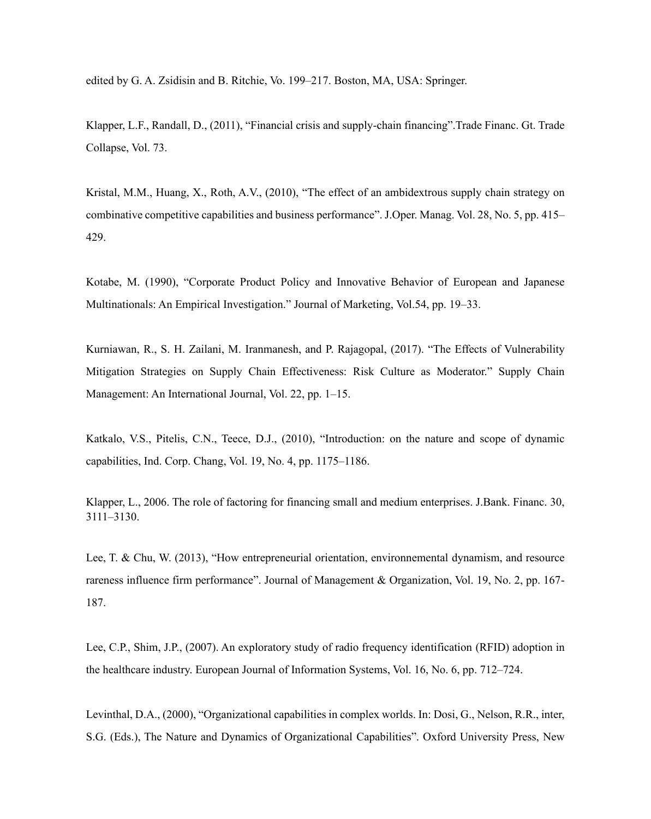edited by G. A. Zsidisin and B. Ritchie, Vo. 199–217. Boston, MA, USA: Springer.

Klapper, L.F., Randall, D., (2011), "Financial crisis and supply-chain financing".Trade Financ. Gt. Trade Collapse, Vol. 73.

Kristal, M.M., Huang, X., Roth, A.V., (2010), "The effect of an ambidextrous supply chain strategy on combinative competitive capabilities and business performance". J.Oper. Manag. Vol. 28, No. 5, pp. 415– 429.

Kotabe, M. (1990), "Corporate Product Policy and Innovative Behavior of European and Japanese Multinationals: An Empirical Investigation." Journal of Marketing, Vol.54, pp. 19–33.

Kurniawan, R., S. H. Zailani, M. Iranmanesh, and P. Rajagopal, (2017). "The Effects of Vulnerability Mitigation Strategies on Supply Chain Effectiveness: Risk Culture as Moderator." Supply Chain Management: An International Journal, Vol. 22, pp. 1–15.

Katkalo, V.S., Pitelis, C.N., Teece, D.J., (2010), "Introduction: on the nature and scope of dynamic capabilities, Ind. Corp. Chang, Vol. 19, No. 4, pp. 1175–1186.

Klapper, L., 2006. The role of factoring for financing small and medium enterprises. J.Bank. Financ. 30, 3111–3130.

Lee, T. & Chu, W. (2013), "How entrepreneurial orientation, environnemental dynamism, and resource rareness influence firm performance". Journal of Management & Organization, Vol. 19, No. 2, pp. 167- 187.

Lee, C.P., Shim, J.P., (2007). An exploratory study of radio frequency identification (RFID) adoption in the healthcare industry. European Journal of Information Systems, Vol. 16, No. 6, pp. 712–724.

Levinthal, D.A., (2000), "Organizational capabilities in complex worlds. In: Dosi, G., Nelson, R.R., inter, S.G. (Eds.), The Nature and Dynamics of Organizational Capabilities". Oxford University Press, New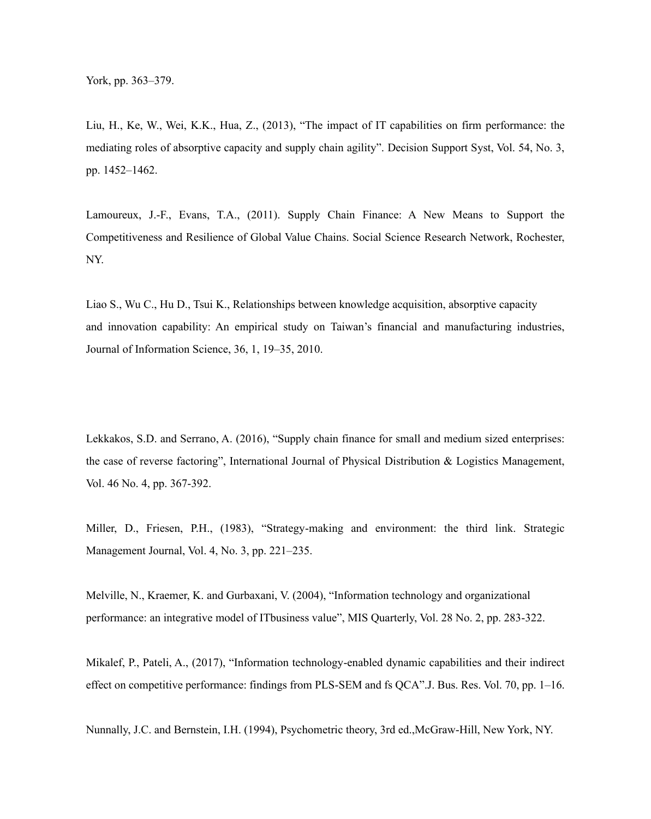Liu, H., Ke, W., Wei, K.K., Hua, Z., (2013), "The impact of IT capabilities on firm performance: the mediating roles of absorptive capacity and supply chain agility". Decision Support Syst, Vol. 54, No. 3, pp. 1452–1462.

Lamoureux, J.-F., Evans, T.A., (2011). Supply Chain Finance: A New Means to Support the Competitiveness and Resilience of Global Value Chains. Social Science Research Network, Rochester, NY.

Liao S., Wu C., Hu D., Tsui K., Relationships between knowledge acquisition, absorptive capacity and innovation capability: An empirical study on Taiwan's financial and manufacturing industries, Journal of Information Science, 36, 1, 19–35, 2010.

Lekkakos, S.D. and Serrano, A. (2016), "Supply chain finance for small and medium sized enterprises: the case of reverse factoring", International Journal of Physical Distribution & Logistics Management, Vol. 46 No. 4, pp. 367-392.

Miller, D., Friesen, P.H., (1983), "Strategy-making and environment: the third link. Strategic Management Journal, Vol. 4, No. 3, pp. 221–235.

Melville, N., Kraemer, K. and Gurbaxani, V. (2004), "Information technology and organizational performance: an integrative model of ITbusiness value", MIS Quarterly, Vol. 28 No. 2, pp. 283-322.

Mikalef, P., Pateli, A., (2017), "Information technology-enabled dynamic capabilities and their indirect effect on competitive performance: findings from PLS-SEM and fs QCA".J. Bus. Res. Vol. 70, pp. 1–16.

Nunnally, J.C. and Bernstein, I.H. (1994), Psychometric theory, 3rd ed.,McGraw-Hill, New York, NY.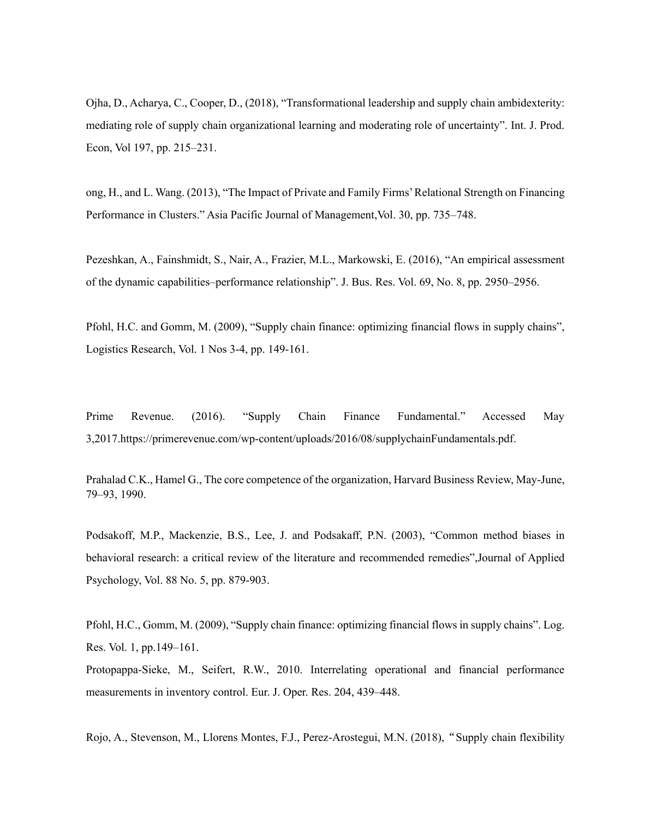Ojha, D., Acharya, C., Cooper, D., (2018), "Transformational leadership and supply chain ambidexterity: mediating role of supply chain organizational learning and moderating role of uncertainty". Int. J. Prod. Econ, Vol 197, pp. 215–231.

ong, H., and L. Wang. (2013), "The Impact of Private and Family Firms' Relational Strength on Financing Performance in Clusters." Asia Pacific Journal of Management,Vol. 30, pp. 735–748.

Pezeshkan, A., Fainshmidt, S., Nair, A., Frazier, M.L., Markowski, E. (2016), "An empirical assessment of the dynamic capabilities–performance relationship". J. Bus. Res. Vol. 69, No. 8, pp. 2950–2956.

Pfohl, H.C. and Gomm, M. (2009), "Supply chain finance: optimizing financial flows in supply chains", Logistics Research, Vol. 1 Nos 3-4, pp. 149-161.

Prime Revenue. (2016). "Supply Chain Finance Fundamental." Accessed May 3,2017.https://primerevenue.com/wp-content/uploads/2016/08/supplychainFundamentals.pdf.

Prahalad C.K., Hamel G., The core competence of the organization, Harvard Business Review, May-June, 79–93, 1990.

Podsakoff, M.P., Mackenzie, B.S., Lee, J. and Podsakaff, P.N. (2003), "Common method biases in behavioral research: a critical review of the literature and recommended remedies",Journal of Applied Psychology, Vol. 88 No. 5, pp. 879-903.

Pfohl, H.C., Gomm, M. (2009), "Supply chain finance: optimizing financial flows in supply chains". Log. Res. Vol. 1, pp.149–161.

Protopappa-Sieke, M., Seifert, R.W., 2010. Interrelating operational and financial performance measurements in inventory control. Eur. J. Oper. Res. 204, 439–448.

Rojo, A., Stevenson, M., Llorens Montes, F.J., Perez-Arostegui, M.N. (2018), "Supply chain flexibility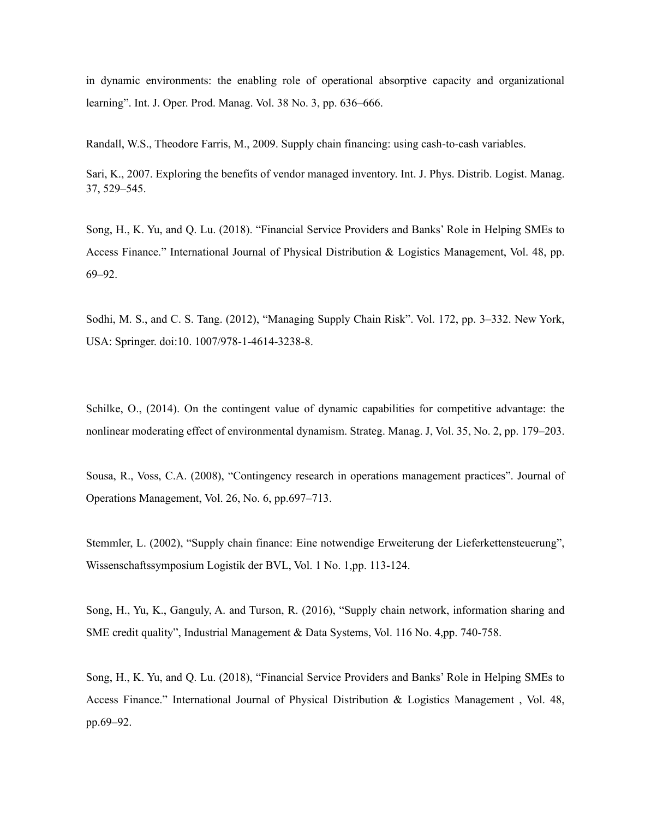in dynamic environments: the enabling role of operational absorptive capacity and organizational learning". Int. J. Oper. Prod. Manag. Vol. 38 No. 3, pp. 636–666.

Randall, W.S., Theodore Farris, M., 2009. Supply chain financing: using cash-to-cash variables.

Sari, K., 2007. Exploring the benefits of vendor managed inventory. Int. J. Phys. Distrib. Logist. Manag. 37, 529–545.

Song, H., K. Yu, and Q. Lu. (2018). "Financial Service Providers and Banks' Role in Helping SMEs to Access Finance." International Journal of Physical Distribution & Logistics Management, Vol. 48, pp. 69–92.

Sodhi, M. S., and C. S. Tang. (2012), "Managing Supply Chain Risk". Vol. 172, pp. 3–332. New York, USA: Springer. doi:10. 1007/978-1-4614-3238-8.

Schilke, O., (2014). On the contingent value of dynamic capabilities for competitive advantage: the nonlinear moderating effect of environmental dynamism. Strateg. Manag. J, Vol. 35, No. 2, pp. 179–203.

Sousa, R., Voss, C.A. (2008), "Contingency research in operations management practices". Journal of Operations Management, Vol. 26, No. 6, pp.697–713.

Stemmler, L. (2002), "Supply chain finance: Eine notwendige Erweiterung der Lieferkettensteuerung", Wissenschaftssymposium Logistik der BVL, Vol. 1 No. 1,pp. 113-124.

Song, H., Yu, K., Ganguly, A. and Turson, R. (2016), "Supply chain network, information sharing and SME credit quality", Industrial Management & Data Systems, Vol. 116 No. 4,pp. 740-758.

Song, H., K. Yu, and Q. Lu. (2018), "Financial Service Providers and Banks' Role in Helping SMEs to Access Finance." International Journal of Physical Distribution & Logistics Management , Vol. 48, pp.69–92.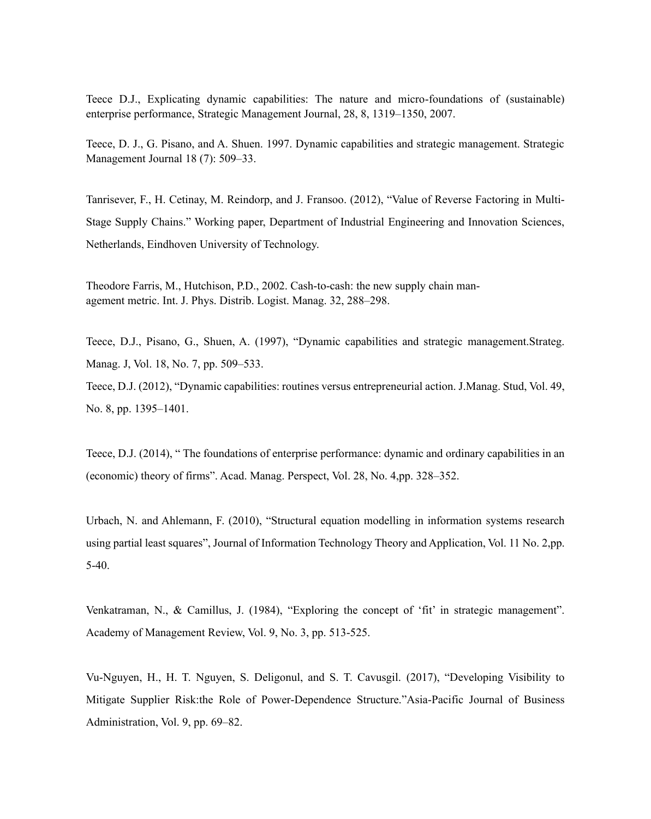Teece D.J., Explicating dynamic capabilities: The nature and micro-foundations of (sustainable) enterprise performance, Strategic Management Journal, 28, 8, 1319–1350, 2007.

Teece, D. J., G. Pisano, and A. Shuen. 1997. Dynamic capabilities and strategic management. Strategic Management Journal 18 (7): 509–33.

Tanrisever, F., H. Cetinay, M. Reindorp, and J. Fransoo. (2012), "Value of Reverse Factoring in Multi-Stage Supply Chains." Working paper, Department of Industrial Engineering and Innovation Sciences, Netherlands, Eindhoven University of Technology.

Theodore Farris, M., Hutchison, P.D., 2002. Cash-to-cash: the new supply chain management metric. Int. J. Phys. Distrib. Logist. Manag. 32, 288–298.

Teece, D.J., Pisano, G., Shuen, A. (1997), "Dynamic capabilities and strategic management.Strateg. Manag. J, Vol. 18, No. 7, pp. 509–533.

Teece, D.J. (2012), "Dynamic capabilities: routines versus entrepreneurial action. J.Manag. Stud, Vol. 49, No. 8, pp. 1395–1401.

Teece, D.J. (2014), " The foundations of enterprise performance: dynamic and ordinary capabilities in an (economic) theory of firms". Acad. Manag. Perspect, Vol. 28, No. 4,pp. 328–352.

Urbach, N. and Ahlemann, F. (2010), "Structural equation modelling in information systems research using partial least squares", Journal of Information Technology Theory and Application, Vol. 11 No. 2,pp. 5-40.

Venkatraman, N., & Camillus, J. (1984), "Exploring the concept of 'fit' in strategic management". Academy of Management Review, Vol. 9, No. 3, pp. 513-525.

Vu-Nguyen, H., H. T. Nguyen, S. Deligonul, and S. T. Cavusgil. (2017), "Developing Visibility to Mitigate Supplier Risk:the Role of Power-Dependence Structure."Asia-Pacific Journal of Business Administration, Vol. 9, pp. 69–82.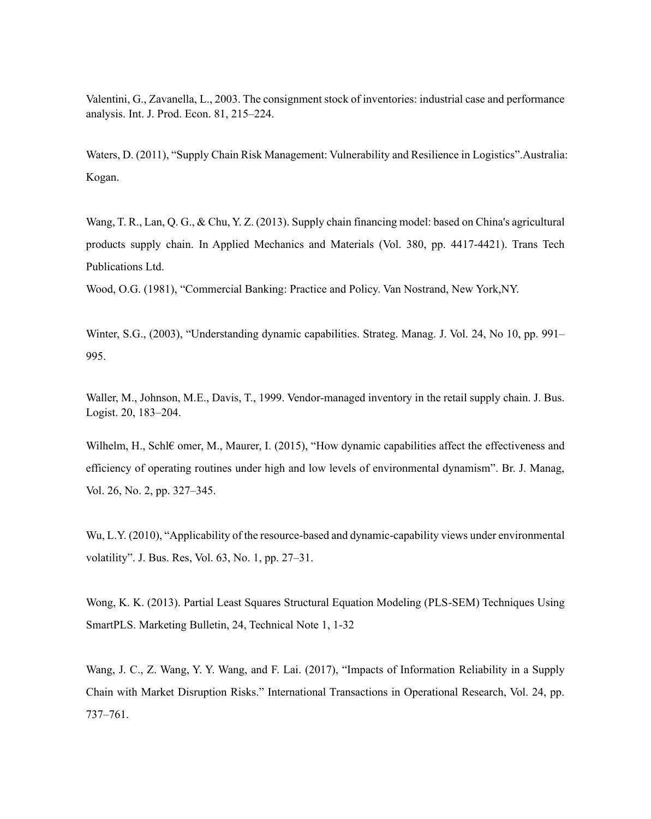Valentini, G., Zavanella, L., 2003. The consignment stock of inventories: industrial case and performance analysis. Int. J. Prod. Econ. 81, 215–224.

Waters, D. (2011), "Supply Chain Risk Management: Vulnerability and Resilience in Logistics".Australia: Kogan.

Wang, T. R., Lan, Q. G., & Chu, Y. Z. (2013). Supply chain financing model: based on China's agricultural products supply chain. In Applied Mechanics and Materials (Vol. 380, pp. 4417-4421). Trans Tech Publications Ltd.

Wood, O.G. (1981), "Commercial Banking: Practice and Policy. Van Nostrand, New York,NY.

Winter, S.G., (2003), "Understanding dynamic capabilities. Strateg. Manag. J. Vol. 24, No 10, pp. 991– 995.

Waller, M., Johnson, M.E., Davis, T., 1999. Vendor-managed inventory in the retail supply chain. J. Bus. Logist. 20, 183–204.

Wilhelm, H., Schl€ omer, M., Maurer, I. (2015), "How dynamic capabilities affect the effectiveness and efficiency of operating routines under high and low levels of environmental dynamism". Br. J. Manag, Vol. 26, No. 2, pp. 327–345.

Wu, L.Y. (2010), "Applicability of the resource-based and dynamic-capability views under environmental volatility". J. Bus. Res, Vol. 63, No. 1, pp. 27–31.

Wong, K. K. (2013). Partial Least Squares Structural Equation Modeling (PLS-SEM) Techniques Using SmartPLS. Marketing Bulletin, 24, Technical Note 1, 1-32

Wang, J. C., Z. Wang, Y. Y. Wang, and F. Lai. (2017), "Impacts of Information Reliability in a Supply Chain with Market Disruption Risks." International Transactions in Operational Research, Vol. 24, pp. 737–761.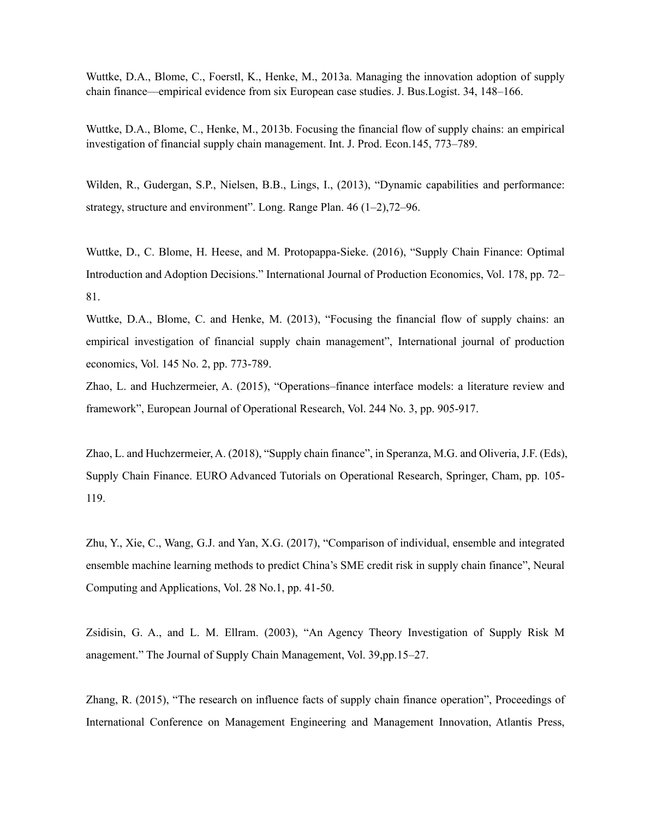Wuttke, D.A., Blome, C., Foerstl, K., Henke, M., 2013a. Managing the innovation adoption of supply chain finance—empirical evidence from six European case studies. J. Bus.Logist. 34, 148–166.

Wuttke, D.A., Blome, C., Henke, M., 2013b. Focusing the financial flow of supply chains: an empirical investigation of financial supply chain management. Int. J. Prod. Econ.145, 773–789.

Wilden, R., Gudergan, S.P., Nielsen, B.B., Lings, I., (2013), "Dynamic capabilities and performance: strategy, structure and environment". Long. Range Plan. 46 (1–2),72–96.

Wuttke, D., C. Blome, H. Heese, and M. Protopappa-Sieke. (2016), "Supply Chain Finance: Optimal Introduction and Adoption Decisions." International Journal of Production Economics, Vol. 178, pp. 72– 81.

Wuttke, D.A., Blome, C. and Henke, M. (2013), "Focusing the financial flow of supply chains: an empirical investigation of financial supply chain management", International journal of production economics, Vol. 145 No. 2, pp. 773-789.

Zhao, L. and Huchzermeier, A. (2015), "Operations–finance interface models: a literature review and framework", European Journal of Operational Research, Vol. 244 No. 3, pp. 905-917.

Zhao, L. and Huchzermeier, A. (2018), "Supply chain finance", in Speranza, M.G. and Oliveria, J.F. (Eds), Supply Chain Finance. EURO Advanced Tutorials on Operational Research, Springer, Cham, pp. 105- 119.

Zhu, Y., Xie, C., Wang, G.J. and Yan, X.G. (2017), "Comparison of individual, ensemble and integrated ensemble machine learning methods to predict China's SME credit risk in supply chain finance", Neural Computing and Applications, Vol. 28 No.1, pp. 41-50.

Zsidisin, G. A., and L. M. Ellram. (2003), "An Agency Theory Investigation of Supply Risk M anagement." The Journal of Supply Chain Management, Vol. 39,pp.15–27.

Zhang, R. (2015), "The research on influence facts of supply chain finance operation", Proceedings of International Conference on Management Engineering and Management Innovation, Atlantis Press,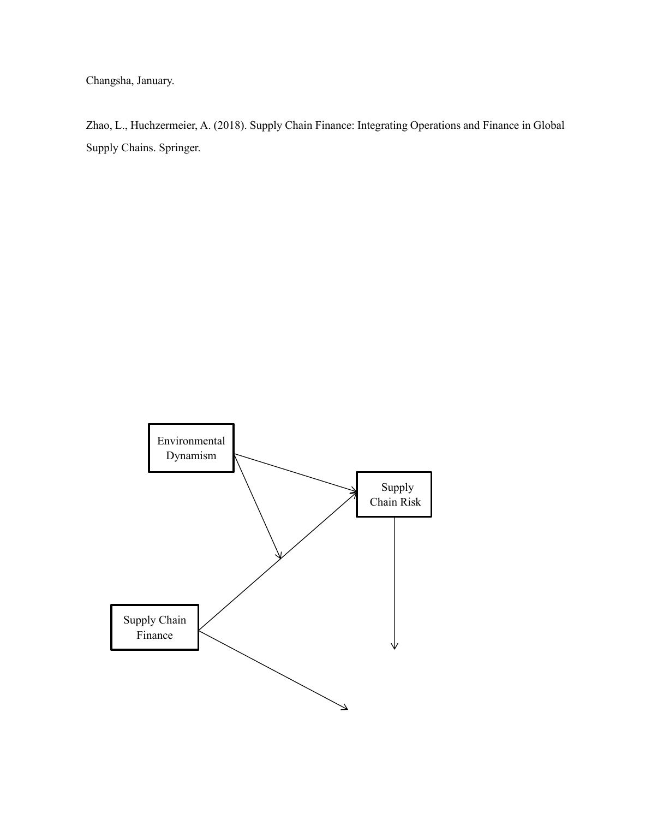Changsha, January.

Zhao, L., Huchzermeier, A. (2018). Supply Chain Finance: Integrating Operations and Finance in Global Supply Chains. Springer.

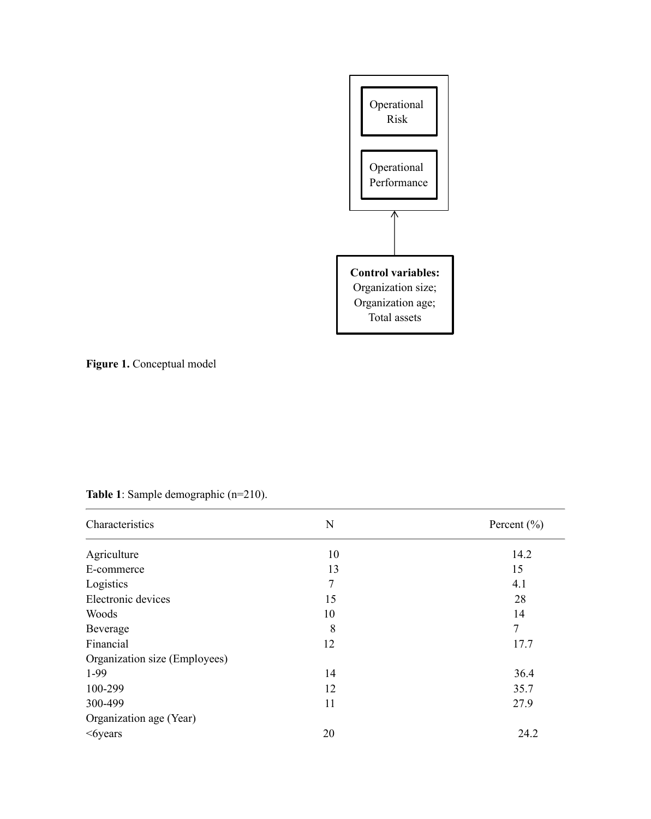

**Figure 1.** Conceptual model

| Characteristics               | N              | Percent $(\% )$ |
|-------------------------------|----------------|-----------------|
| Agriculture                   | 10             | 14.2            |
| E-commerce                    | 13             | 15              |
| Logistics                     | $\overline{7}$ | 4.1             |
| Electronic devices            | 15             | 28              |
| Woods                         | 10             | 14              |
| Beverage                      | 8              | $\overline{7}$  |
| Financial                     | 12             | 17.7            |
| Organization size (Employees) |                |                 |
| 1-99                          | 14             | 36.4            |
| 100-299                       | 12             | 35.7            |
| 300-499                       | 11             | 27.9            |
| Organization age (Year)       |                |                 |
| $<6$ years                    | 20             | 24.2            |

# **Table 1**: Sample demographic (n=210).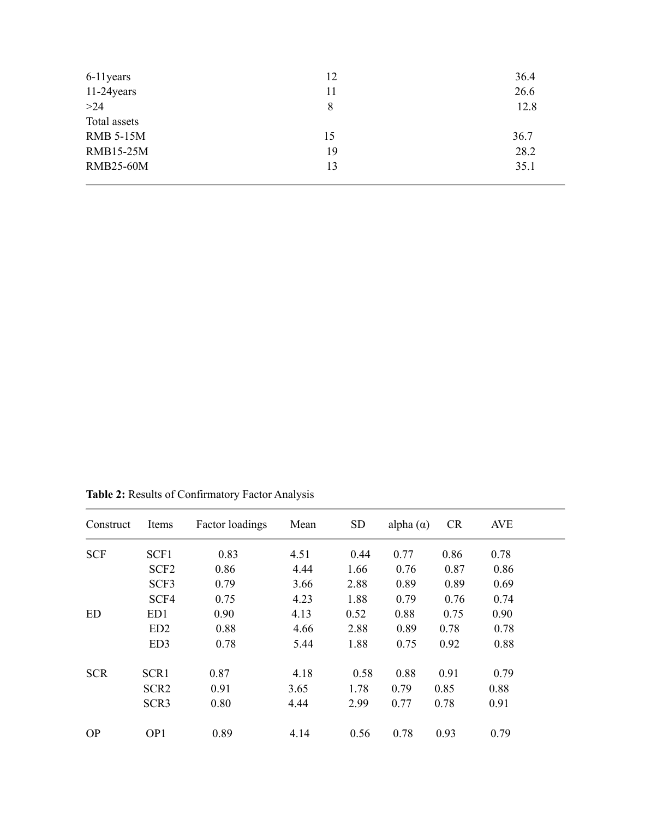| 6-11 years       | 12 | 36.4 |
|------------------|----|------|
| 11-24 years      | 11 | 26.6 |
| $>24$            | 8  | 12.8 |
| Total assets     |    |      |
| <b>RMB 5-15M</b> | 15 | 36.7 |
| <b>RMB15-25M</b> | 19 | 28.2 |
| <b>RMB25-60M</b> | 13 | 35.1 |
|                  |    |      |

**Table 2:** Results of Confirmatory Factor Analysis

| Construct  | Items            | Factor loadings | Mean | <b>SD</b> | alpha $(\alpha)$ | <b>CR</b> | <b>AVE</b> |  |
|------------|------------------|-----------------|------|-----------|------------------|-----------|------------|--|
| <b>SCF</b> | SCF1             | 0.83            | 4.51 | 0.44      | 0.77             | 0.86      | 0.78       |  |
|            | SCF <sub>2</sub> | 0.86            | 4.44 | 1.66      | 0.76             | 0.87      | 0.86       |  |
|            | SCF3             | 0.79            | 3.66 | 2.88      | 0.89             | 0.89      | 0.69       |  |
|            | SCF4             | 0.75            | 4.23 | 1.88      | 0.79             | 0.76      | 0.74       |  |
| <b>ED</b>  | ED1              | 0.90            | 4.13 | 0.52      | 0.88             | 0.75      | 0.90       |  |
|            | ED <sub>2</sub>  | 0.88            | 4.66 | 2.88      | 0.89             | 0.78      | 0.78       |  |
|            | ED <sub>3</sub>  | 0.78            | 5.44 | 1.88      | 0.75             | 0.92      | 0.88       |  |
| <b>SCR</b> | SCR1             | 0.87            | 4.18 | 0.58      | 0.88             | 0.91      | 0.79       |  |
|            | SCR <sub>2</sub> | 0.91            | 3.65 | 1.78      | 0.79             | 0.85      | 0.88       |  |
|            | SCR <sub>3</sub> | 0.80            | 4.44 | 2.99      | 0.77             | 0.78      | 0.91       |  |
| <b>OP</b>  | OP1              | 0.89            | 4.14 | 0.56      | 0.78             | 0.93      | 0.79       |  |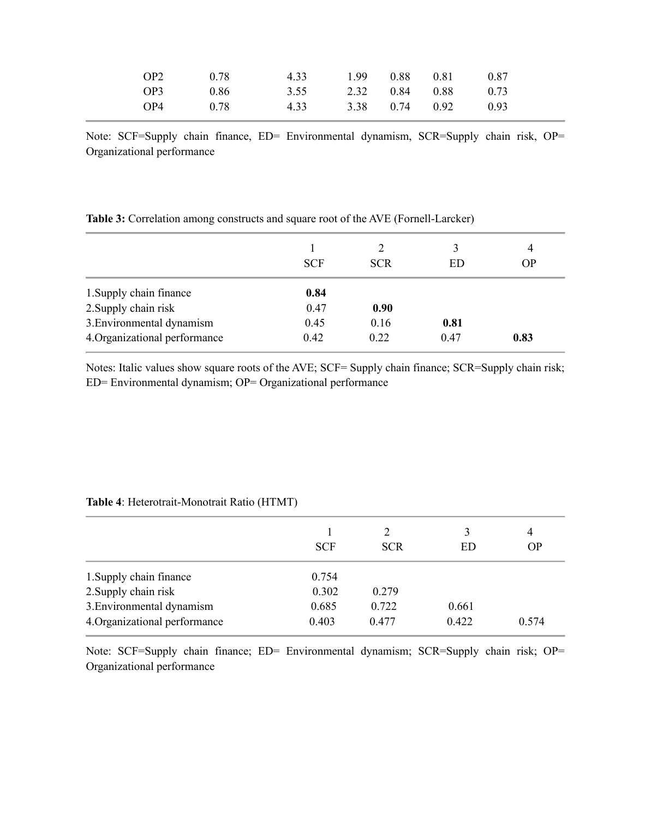| OP2 | 0.78 | 4.33 | 1.99 0.88 | 0.81             | 0.87                |
|-----|------|------|-----------|------------------|---------------------|
| OP3 | 0.86 | 3.55 |           |                  | 2.32 0.84 0.88 0.73 |
| OP4 | 0.78 | 4.33 |           | $3.38$ 0.74 0.92 | 0.93                |

Note: SCF=Supply chain finance, ED= Environmental dynamism, SCR=Supply chain risk, OP= Organizational performance

|                               | <b>SCF</b> | 2<br><b>SCR</b> | 3<br>ED | 4<br><b>OP</b> |
|-------------------------------|------------|-----------------|---------|----------------|
| 1. Supply chain finance       | 0.84       |                 |         |                |
| 2. Supply chain risk          | 0.47       | 0.90            |         |                |
| 3. Environmental dynamism     | 0.45       | 0.16            | 0.81    |                |
| 4. Organizational performance | 0.42       | 0.22            | 0.47    | 0.83           |

**Table 3:** Correlation among constructs and square root of the AVE (Fornell-Larcker)

Notes: Italic values show square roots of the AVE; SCF= Supply chain finance; SCR=Supply chain risk; ED= Environmental dynamism; OP= Organizational performance

|                               | <b>SCF</b> | 2<br><b>SCR</b> | 3<br>ED | 4<br><b>OP</b> |
|-------------------------------|------------|-----------------|---------|----------------|
| 1. Supply chain finance       | 0.754      |                 |         |                |
| 2. Supply chain risk          | 0.302      | 0.279           |         |                |
| 3. Environmental dynamism     | 0.685      | 0.722           | 0.661   |                |
| 4. Organizational performance | 0.403      | 0.477           | 0.422   | 0.574          |

**Table 4**: Heterotrait-Monotrait Ratio (HTMT)

Note: SCF=Supply chain finance; ED= Environmental dynamism; SCR=Supply chain risk; OP= Organizational performance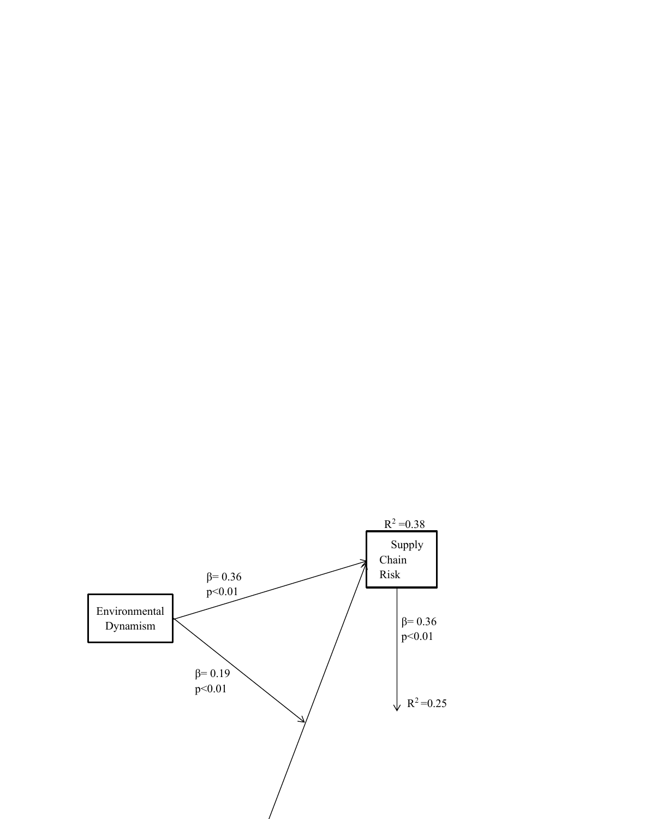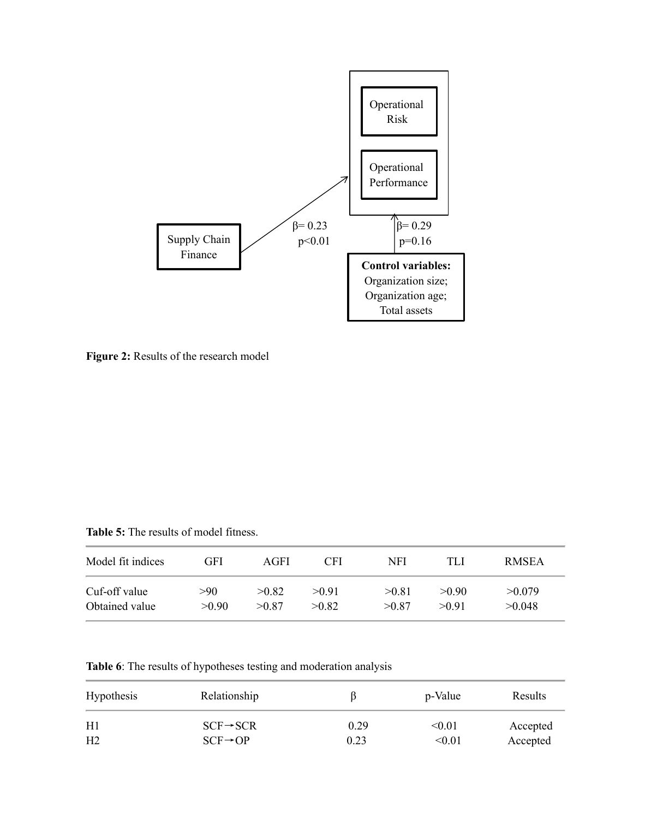

**Figure 2:** Results of the research model

**Table 5:** The results of model fitness.

| Model fit indices | GFI   | AGFI  | CFI   | NFI   | TLI   | <b>RMSEA</b> |
|-------------------|-------|-------|-------|-------|-------|--------------|
| Cuf-off value     | >90   | >0.82 | >0.91 | >0.81 | >0.90 | >0.079       |
| Obtained value    | >0.90 | >0.87 | >0.82 | >0.87 | >0.91 | >0.048       |

**Table 6**: The results of hypotheses testing and moderation analysis

| <b>Hypothesis</b> | Relationship          |      | p-Value       | Results  |
|-------------------|-----------------------|------|---------------|----------|
| H1                | $SCF \rightarrow SCR$ | 0.29 | < 0.01        | Accepted |
| H <sub>2</sub>    | $SCF \rightarrow OP$  | 0.23 | $< \!\! 0.01$ | Accepted |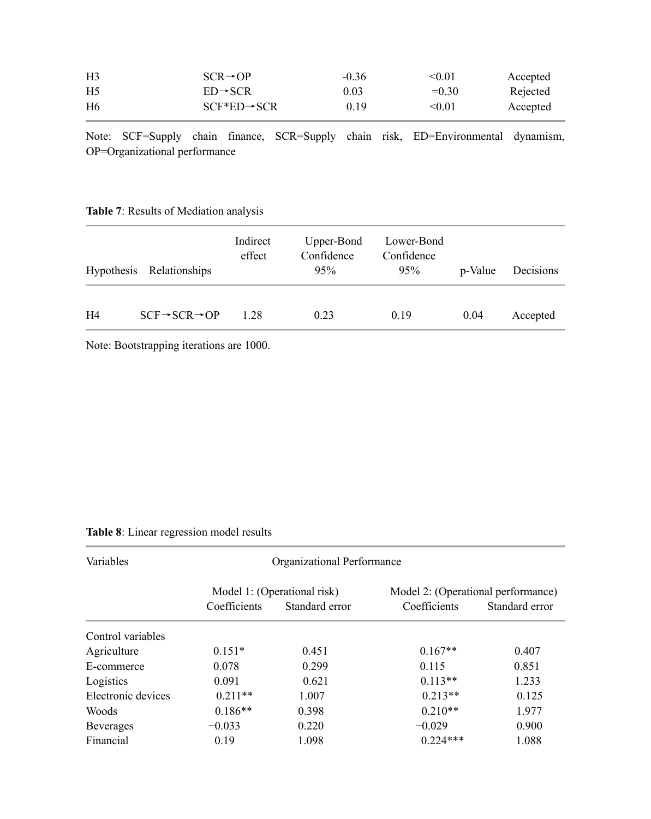| H <sub>3</sub> | $SCR \rightarrow OP$     | $-0.36$ | $<$ 0.01 $\,$ | Accepted |
|----------------|--------------------------|---------|---------------|----------|
| H <sub>5</sub> | $ED \rightarrow SCR$     | 0.03    | $=0.30$       | Rejected |
| H <sub>6</sub> | $SCF*ED \rightarrow SCR$ | 0.19    | < 0.01        | Accepted |

Note: SCF=Supply chain finance, SCR=Supply chain risk, ED=Environmental dynamism, OP=Organizational performance

# **Table 7**: Results of Mediation analysis

|                | Hypothesis Relationships             | Indirect<br>effect | Upper-Bond<br>Confidence<br>95% | Lower-Bond<br>Confidence<br>95% | p-Value | Decisions |
|----------------|--------------------------------------|--------------------|---------------------------------|---------------------------------|---------|-----------|
| H <sub>4</sub> | $SCF \rightarrow SCR \rightarrow OP$ | 1.28               | 0.23                            | 0.19                            | 0.04    | Accepted  |

Note: Bootstrapping iterations are 1000.

# **Table 8**: Linear regression model results

| Variables          |              | Organizational Performance  |                                    |                |  |
|--------------------|--------------|-----------------------------|------------------------------------|----------------|--|
|                    |              | Model 1: (Operational risk) | Model 2: (Operational performance) |                |  |
|                    | Coefficients | Standard error              | Coefficients                       | Standard error |  |
| Control variables  |              |                             |                                    |                |  |
| Agriculture        | $0.151*$     | 0.451                       | $0.167**$                          | 0.407          |  |
| E-commerce         | 0.078        | 0.299                       | 0.115                              | 0.851          |  |
| Logistics          | 0.091        | 0.621                       | $0.113**$                          | 1.233          |  |
| Electronic devices | $0.211**$    | 1.007                       | $0.213**$                          | 0.125          |  |
| Woods              | $0.186**$    | 0.398                       | $0.210**$                          | 1.977          |  |
| <b>Beverages</b>   | $-0.033$     | 0.220                       | $-0.029$                           | 0.900          |  |
| Financial          | 0.19         | 1.098                       | $0.224***$                         | 1.088          |  |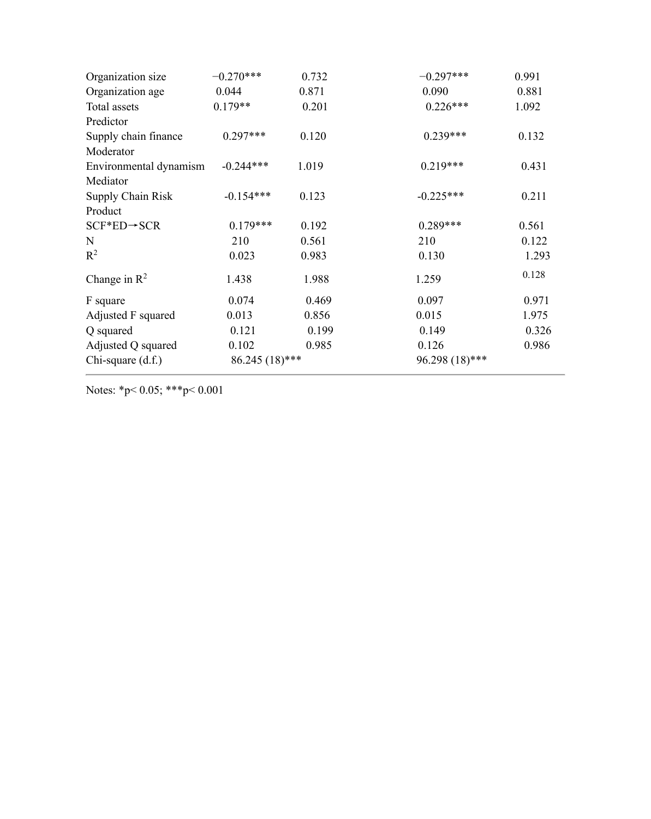| Organization size        | $-0.270***$      | 0.732 | $-0.297***$    | 0.991 |
|--------------------------|------------------|-------|----------------|-------|
| Organization age         | 0.044            | 0.871 | 0.090          | 0.881 |
| Total assets             | $0.179**$        | 0.201 | $0.226***$     | 1.092 |
| Predictor                |                  |       |                |       |
| Supply chain finance     | $0.297***$       | 0.120 | $0.239***$     | 0.132 |
| Moderator                |                  |       |                |       |
| Environmental dynamism   | $-0.244***$      | 1.019 | $0.219***$     | 0.431 |
| Mediator                 |                  |       |                |       |
| <b>Supply Chain Risk</b> | $-0.154***$      | 0.123 | $-0.225***$    | 0.211 |
| Product                  |                  |       |                |       |
| $SCF*ED \rightarrow SCR$ | $0.179***$       | 0.192 | $0.289***$     | 0.561 |
| $\mathbf N$              | 210              | 0.561 | 210            | 0.122 |
| $R^2$                    | 0.023            | 0.983 | 0.130          | 1.293 |
| Change in $\mathbb{R}^2$ | 1.438            | 1.988 | 1.259          | 0.128 |
| F square                 | 0.074            | 0.469 | 0.097          | 0.971 |
| Adjusted F squared       | 0.013            | 0.856 | 0.015          | 1.975 |
| Q squared                | 0.121            | 0.199 | 0.149          | 0.326 |
| Adjusted Q squared       | 0.102            | 0.985 | 0.126          | 0.986 |
| Chi-square (d.f.)        | $86.245(18)$ *** |       | 96.298 (18)*** |       |

Notes: \*p< 0.05; \*\*\*p< 0.001